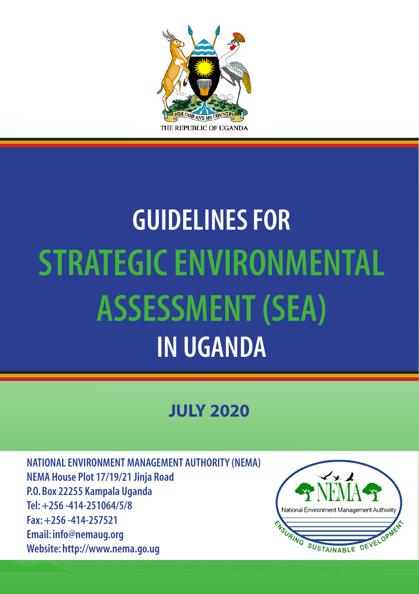

# **GUIDELINES FOR STRATEGIC ENVIRONMENTAL ASSESSMENT (SEA) IN UGANDA**

### **JULY 2020**

1 **NATIONAL ENVIRONMENT MANAGEMENT AUTHORITY (NEMA) NEMA House Plot 17/19/21 Jinja Road P.O. Box 22255 Kampala Uganda Tel: +256 -414-251064/5/8 Fax: +256 -414-257521 Email: info@nemaug.org Website: http://www.nema.go.ug**

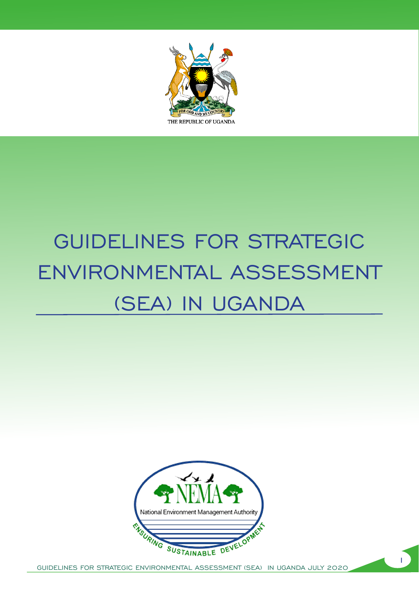

## GUIDELINES FOR STRATEGIC ENVIRONMENTAL ASSESSMENT (SEA) IN UGANDA



i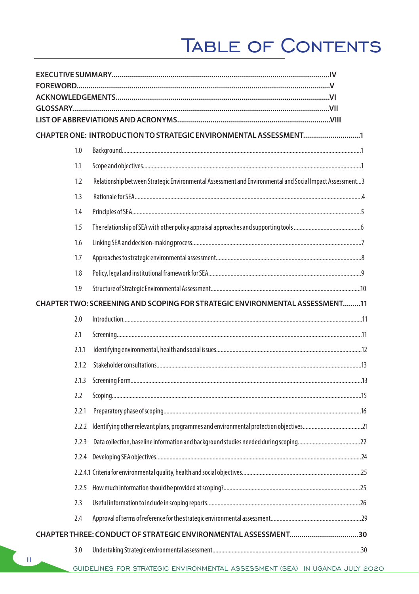## TABLE OF CONTENTS

|  |       | CHAPTER ONE: INTRODUCTION TO STRATEGIC ENVIRONMENTAL ASSESSMENT1                                        |  |  |
|--|-------|---------------------------------------------------------------------------------------------------------|--|--|
|  | 1.0   |                                                                                                         |  |  |
|  | 1.1   |                                                                                                         |  |  |
|  | 1.2   | Relationship between Strategic Environmental Assessment and Environmental and Social Impact Assessment3 |  |  |
|  | 1.3   |                                                                                                         |  |  |
|  | 1.4   |                                                                                                         |  |  |
|  | 1.5   |                                                                                                         |  |  |
|  | 1.6   |                                                                                                         |  |  |
|  | 1.7   |                                                                                                         |  |  |
|  | 1.8   |                                                                                                         |  |  |
|  | 1.9   |                                                                                                         |  |  |
|  |       | CHAPTER TWO: SCREENING AND SCOPING FOR STRATEGIC ENVIRONMENTAL ASSESSMENT11                             |  |  |
|  | 2.0   |                                                                                                         |  |  |
|  | 2.1   |                                                                                                         |  |  |
|  | 2.1.1 |                                                                                                         |  |  |
|  | 2.1.2 |                                                                                                         |  |  |
|  | 2.1.3 |                                                                                                         |  |  |
|  | 2.2   |                                                                                                         |  |  |
|  | 2.2.1 |                                                                                                         |  |  |
|  | 2.2.2 | Identifying other relevant plans, programmes and environmental protection objectives21                  |  |  |
|  | 2.2.3 |                                                                                                         |  |  |
|  | 2.2.4 |                                                                                                         |  |  |
|  |       |                                                                                                         |  |  |
|  |       |                                                                                                         |  |  |
|  | 2.3   |                                                                                                         |  |  |
|  | 2.4   |                                                                                                         |  |  |
|  |       |                                                                                                         |  |  |
|  | 3.0   |                                                                                                         |  |  |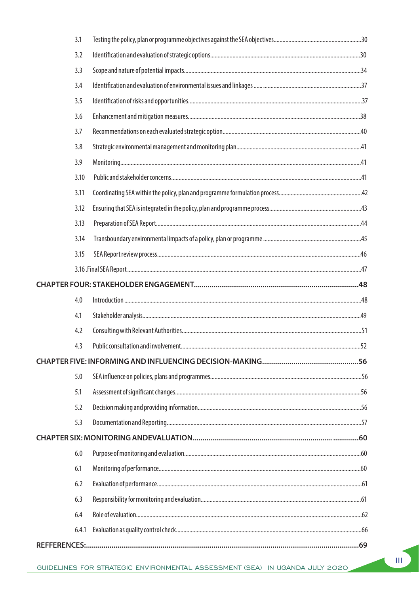| 3.1   |  |  |  |  |
|-------|--|--|--|--|
| 3.2   |  |  |  |  |
| 3.3   |  |  |  |  |
| 3.4   |  |  |  |  |
| 3.5   |  |  |  |  |
| 3.6   |  |  |  |  |
| 3.7   |  |  |  |  |
| 3.8   |  |  |  |  |
| 3.9   |  |  |  |  |
| 3.10  |  |  |  |  |
| 3.11  |  |  |  |  |
| 3.12  |  |  |  |  |
| 3.13  |  |  |  |  |
| 3.14  |  |  |  |  |
| 3.15  |  |  |  |  |
|       |  |  |  |  |
|       |  |  |  |  |
| 4.0   |  |  |  |  |
| 4.1   |  |  |  |  |
| 4.2   |  |  |  |  |
| 4.3   |  |  |  |  |
|       |  |  |  |  |
| 5.0   |  |  |  |  |
| 5.1   |  |  |  |  |
| 5.2   |  |  |  |  |
| 5.3   |  |  |  |  |
|       |  |  |  |  |
| 6.0   |  |  |  |  |
| 6.1   |  |  |  |  |
| 6.2   |  |  |  |  |
| 6.3   |  |  |  |  |
| 6.4   |  |  |  |  |
| 6.4.1 |  |  |  |  |
|       |  |  |  |  |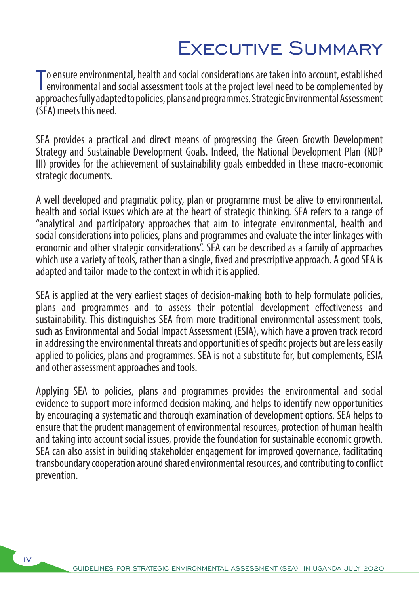### Executive Summary

To ensure environmental, health and social considerations are taken into account, established<br>environmental and social assessment tools at the project level need to be complemented by<br>expressed by the data of the project l **F** environmental and social assessment tools at the project level need to be complemented by approaches fully adapted to policies, plans and programmes. Strategic Environmental Assessment (SEA) meets this need.

SEA provides a practical and direct means of progressing the Green Growth Development Strategy and Sustainable Development Goals. Indeed, the National Development Plan (NDP III) provides for the achievement of sustainability goals embedded in these macro-economic strategic documents.

A well developed and pragmatic policy, plan or programme must be alive to environmental, health and social issues which are at the heart of strategic thinking. SEA refers to a range of "analytical and participatory approaches that aim to integrate environmental, health and social considerations into policies, plans and programmes and evaluate the inter linkages with economic and other strategic considerations". SEA can be described as a family of approaches which use a variety of tools, rather than a single, fixed and prescriptive approach. A good SEA is adapted and tailor-made to the context in which it is applied.

SEA is applied at the very earliest stages of decision-making both to help formulate policies, plans and programmes and to assess their potential development effectiveness and sustainability. This distinguishes SEA from more traditional environmental assessment tools, such as Environmental and Social Impact Assessment (ESIA), which have a proven track record in addressing the environmental threats and opportunities of specific projects but are less easily applied to policies, plans and programmes. SEA is not a substitute for, but complements, ESIA and other assessment approaches and tools.

Applying SEA to policies, plans and programmes provides the environmental and social evidence to support more informed decision making, and helps to identify new opportunities by encouraging a systematic and thorough examination of development options. SEA helps to ensure that the prudent management of environmental resources, protection of human health and taking into account social issues, provide the foundation for sustainable economic growth. SEA can also assist in building stakeholder engagement for improved governance, facilitating transboundary cooperation around shared environmental resources, and contributing to conflict prevention.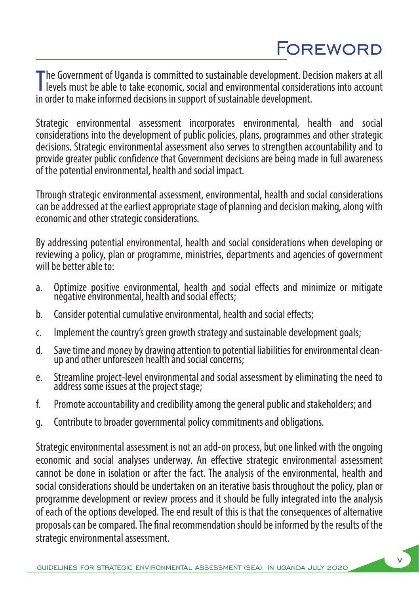## Foreword

The Government of Uganda is committed to sustainable development. Decision makers at all<br>levels must be able to take economic, social and environmental considerations into account levels must be able to take economic, social and environmental considerations into account in order to make informed decisions in support of sustainable development.

Strategic environmental assessment incorporates environmental, health and social considerations into the development of public policies, plans, programmes and other strategic decisions. Strategic environmental assessment also serves to strengthen accountability and to provide greater public confidence that Government decisions are being made in full awareness of the potential environmental, health and social impact.

Through strategic environmental assessment, environmental, health and social considerations can be addressed at the earliest appropriate stage of planning and decision making, along with economic and other strategic considerations.

By addressing potential environmental, health and social considerations when developing or reviewing a policy, plan or programme, ministries, departments and agencies of government will be better able to:

- a. Optimize positive environmental, health and social effects and minimize or mitigate negative environmental, health and social effects;
- b. Consider potential cumulative environmental, health and social effects;
- c. Implement the country's green growth strategy and sustainable development goals;
- d. Save time and money by drawing attention to potential liabilities for environmental cleanup and other unforeseen health and social concerns;
- e. Streamline project-level environmental and social assessment by eliminating the need to address some issues at the project stage;
- f. Promote accountability and credibility among the general public and stakeholders; and
- g. Contribute to broader governmental policy commitments and obligations.

Strategic environmental assessment is not an add-on process, but one linked with the ongoing economic and social analyses underway. An effective strategic environmental assessment cannot be done in isolation or after the fact. The analysis of the environmental, health and social considerations should be undertaken on an iterative basis throughout the policy, plan or programme development or review process and it should be fully integrated into the analysis of each of the options developed. The end result of this is that the consequences of alternative proposals can be compared. The final recommendation should be informed by the results of the strategic environmental assessment.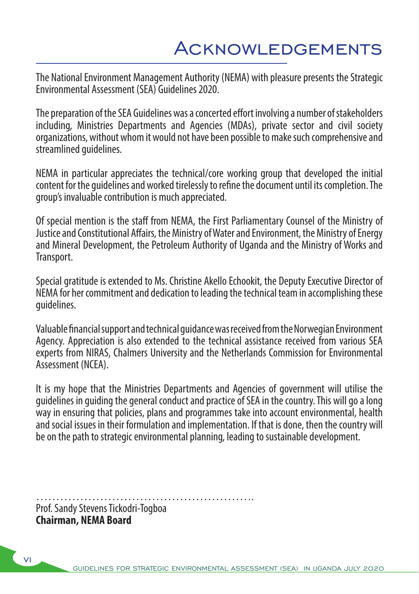The National Environment Management Authority (NEMA) with pleasure presents the Strategic Environmental Assessment (SEA) Guidelines 2020.

The preparation of the SEA Guidelines was a concerted effort involving a number of stakeholders including, Ministries Departments and Agencies (MDAs), private sector and civil society organizations, without whom it would not have been possible to make such comprehensive and streamlined guidelines.

NEMA in particular appreciates the technical/core working group that developed the initial content for the guidelines and worked tirelessly to refine the document until its completion. The group's invaluable contribution is much appreciated.

Of special mention is the staff from NEMA, the First Parliamentary Counsel of the Ministry of Justice and Constitutional Affairs, the Ministry of Water and Environment, the Ministry of Energy and Mineral Development, the Petroleum Authority of Uganda and the Ministry of Works and Transport.

Special gratitude is extended to Ms. Christine Akello Echookit, the Deputy Executive Director of NEMA for her commitment and dedication to leading the technical team in accomplishing these guidelines.

Valuable financial support and technical guidance was received from the Norwegian Environment Agency. Appreciation is also extended to the technical assistance received from various SEA experts from NIRAS, Chalmers University and the Netherlands Commission for Environmental Assessment (NCEA).

It is my hope that the Ministries Departments and Agencies of government will utilise the guidelines in guiding the general conduct and practice of SEA in the country. This will go a long way in ensuring that policies, plans and programmes take into account environmental, health and social issues in their formulation and implementation. If that is done, then the country will be on the path to strategic environmental planning, leading to sustainable development.

……………………………………………….

Prof. Sandy Stevens Tickodri-Togboa **Chairman, NEMA Board**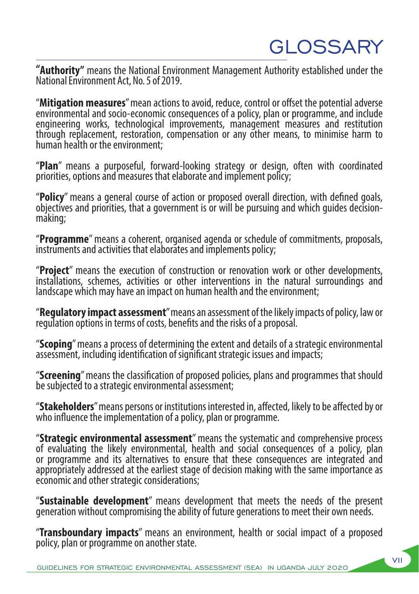## **GLOSSARY**

**"Authority"** means the National Environment Management Authority established under the National Environment Act, No. 5 of 2019.

"**Mitigation measures**" mean actions to avoid, reduce, control or offset the potential adverse environmental and socio-economic consequences of a policy, plan or programme, and include engineering works, technological improvements, management measures and restitution through replacement, restoration, compensation or any other means, to minimise harm to human health or the environment;

"**Plan**" means a purposeful, forward-looking strategy or design, often with coordinated priorities, options and measures that elaborate and implement policy;

"**Policy**" means a general course of action or proposed overall direction, with defined goals, objectives and priorities, that a government is or will be pursuing and which guides decisionmaking;

"**Programme**" means a coherent, organised agenda or schedule of commitments, proposals, instruments and activities that elaborates and implements policy;

"**Project**" means the execution of construction or renovation work or other developments, installations, schemes, activities or other interventions in the natural surroundings and landscape which may have an impact on human health and the environment;

"**Regulatory impact assessment**" means an assessment of the likely impacts of policy, law or regulation options in terms of costs, benefits and the risks of a proposal.

"**Scoping**" means a process of determining the extent and details of a strategic environmental assessment, including identification of significant strategic issues and impacts;

"**Screening**" means the classification of proposed policies, plans and programmes that should be subjected to a strategic environmental assessment;

"**Stakeholders**" means persons or institutions interested in, affected, likely to be affected by or who influence the implementation of a policy, plan or programme.

"**Strategic environmental assessment**" means the systematic and comprehensive process of evaluating the likely environmental, health and social consequences of a policy, plan or programme and its alternatives to ensure that these consequences are integrated and appropriately addressed at the earliest stage of decision making with the same importance as economic and other strategic considerations;

"**Sustainable development**" means development that meets the needs of the present generation without compromising the ability of future generations to meet their own needs.

"**Transboundary impacts**" means an environment, health or social impact of a proposed policy, plan or programme on another state.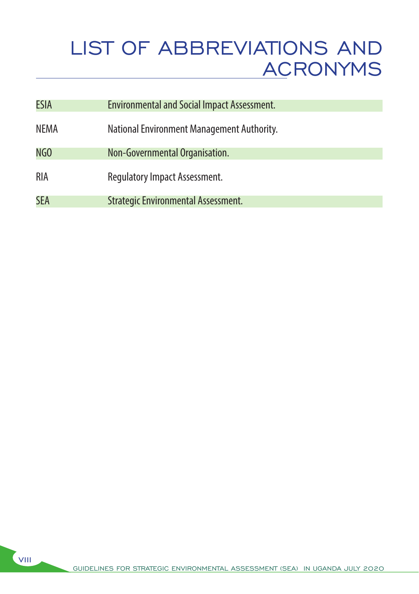## LIST OF ABBREVIATIONS AND ACRONYMS

| <b>ESIA</b> | <b>Environmental and Social Impact Assessment.</b> |
|-------------|----------------------------------------------------|
| <b>NEMA</b> | National Environment Management Authority.         |
| NGO         | Non-Governmental Organisation.                     |
| <b>RIA</b>  | <b>Regulatory Impact Assessment.</b>               |
| <b>SEA</b>  | Strategic Environmental Assessment.                |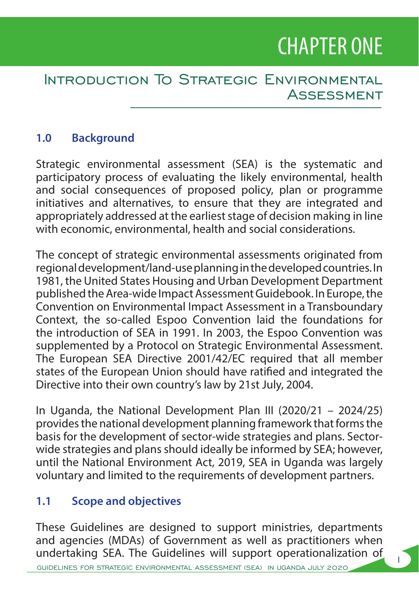## CHAPTER ONE

1

#### Introduction To Strategic Environmental Assessment

#### **1.0 Background**

Strategic environmental assessment (SEA) is the systematic and participatory process of evaluating the likely environmental, health and social consequences of proposed policy, plan or programme initiatives and alternatives, to ensure that they are integrated and appropriately addressed at the earliest stage of decision making in line with economic, environmental, health and social considerations.

The concept of strategic environmental assessments originated from regional development/land-use planning in the developed countries. In 1981, the United States Housing and Urban Development Department published the Area-wide Impact Assessment Guidebook. In Europe, the Convention on Environmental Impact Assessment in a Transboundary Context, the so-called Espoo Convention laid the foundations for the introduction of SEA in 1991. In 2003, the Espoo Convention was supplemented by a Protocol on Strategic Environmental Assessment. The European SEA Directive 2001/42/EC required that all member states of the European Union should have ratified and integrated the Directive into their own country's law by 21st July, 2004.

In Uganda, the National Development Plan III (2020/21 – 2024/25) provides the national development planning framework that forms the basis for the development of sector-wide strategies and plans. Sectorwide strategies and plans should ideally be informed by SEA; however, until the National Environment Act, 2019, SEA in Uganda was largely voluntary and limited to the requirements of development partners.

#### **1.1 Scope and objectives**

These Guidelines are designed to support ministries, departments and agencies (MDAs) of Government as well as practitioners when undertaking SEA. The Guidelines will support operationalization of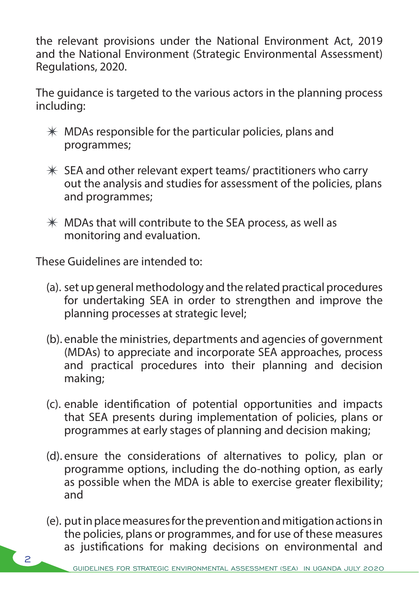the relevant provisions under the National Environment Act, 2019 and the National Environment (Strategic Environmental Assessment) Regulations, 2020.

The quidance is targeted to the various actors in the planning process including:

- $*$  MDAs responsible for the particular policies, plans and programmes;
- $*$  SEA and other relevant expert teams/ practitioners who carry out the analysis and studies for assessment of the policies, plans and programmes;
- $*$  MDAs that will contribute to the SEA process, as well as monitoring and evaluation.

These Guidelines are intended to:

- (a). set up general methodology and the related practical procedures for undertaking SEA in order to strengthen and improve the planning processes at strategic level;
- (b). enable the ministries, departments and agencies of government (MDAs) to appreciate and incorporate SEA approaches, process and practical procedures into their planning and decision making;
- (c). enable identification of potential opportunities and impacts that SEA presents during implementation of policies, plans or programmes at early stages of planning and decision making;
- (d). ensure the considerations of alternatives to policy, plan or programme options, including the do-nothing option, as early as possible when the MDA is able to exercise greater flexibility; and
- (e). put in place measures for the prevention and mitigation actions in the policies, plans or programmes, and for use of these measures as justifications for making decisions on environmental and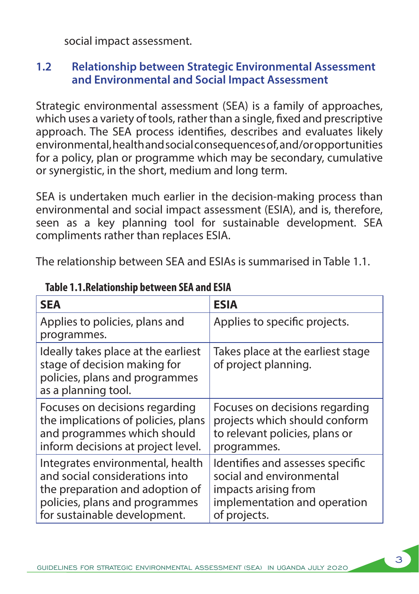social impact assessment.

#### **1.2 Relationship between Strategic Environmental Assessment and Environmental and Social Impact Assessment**

Strategic environmental assessment (SEA) is a family of approaches, which uses a variety of tools, rather than a single, fixed and prescriptive approach. The SEA process identifies, describes and evaluates likely environmental, health and social consequences of, and/or opportunities for a policy, plan or programme which may be secondary, cumulative or synergistic, in the short, medium and long term.

SEA is undertaken much earlier in the decision-making process than environmental and social impact assessment (ESIA), and is, therefore, seen as a key planning tool for sustainable development. SEA compliments rather than replaces ESIA.

The relationship between SEA and ESIAs is summarised in Table 1.1.

| <b>SEA</b>                                                                                                                                                              | <b>ESIA</b>                                                                                                                          |
|-------------------------------------------------------------------------------------------------------------------------------------------------------------------------|--------------------------------------------------------------------------------------------------------------------------------------|
| Applies to policies, plans and<br>programmes.                                                                                                                           | Applies to specific projects.                                                                                                        |
| Ideally takes place at the earliest<br>stage of decision making for<br>policies, plans and programmes<br>as a planning tool.                                            | Takes place at the earliest stage<br>of project planning.                                                                            |
| Focuses on decisions regarding<br>the implications of policies, plans<br>and programmes which should<br>inform decisions at project level.                              | Focuses on decisions regarding<br>projects which should conform<br>to relevant policies, plans or<br>programmes.                     |
| Integrates environmental, health<br>and social considerations into<br>the preparation and adoption of<br>policies, plans and programmes<br>for sustainable development. | Identifies and assesses specific<br>social and environmental<br>impacts arising from<br>implementation and operation<br>of projects. |

 **Table 1.1.Relationship between SEA and ESIA**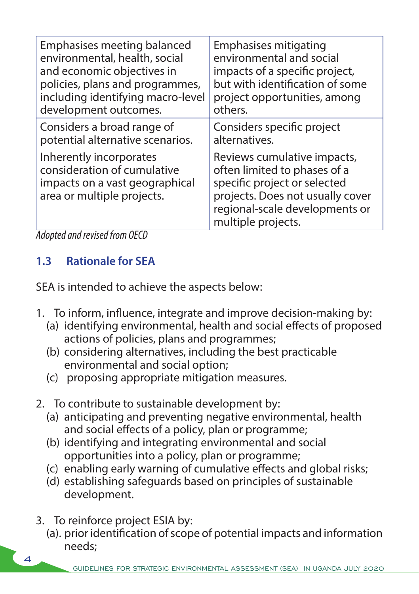| Emphasises meeting balanced                                                                                            | Emphasises mitigating                                                                                                                                                                   |
|------------------------------------------------------------------------------------------------------------------------|-----------------------------------------------------------------------------------------------------------------------------------------------------------------------------------------|
| environmental, health, social                                                                                          | environmental and social                                                                                                                                                                |
| and economic objectives in                                                                                             | impacts of a specific project,                                                                                                                                                          |
| policies, plans and programmes,                                                                                        | but with identification of some                                                                                                                                                         |
| including identifying macro-level                                                                                      | project opportunities, among                                                                                                                                                            |
| development outcomes.                                                                                                  | others.                                                                                                                                                                                 |
| Considers a broad range of                                                                                             | Considers specific project                                                                                                                                                              |
| potential alternative scenarios.                                                                                       | alternatives.                                                                                                                                                                           |
| Inherently incorporates<br>consideration of cumulative<br>impacts on a vast geographical<br>area or multiple projects. | Reviews cumulative impacts,<br>often limited to phases of a<br>specific project or selected<br>projects. Does not usually cover<br>regional-scale developments or<br>multiple projects. |

*Adopted and revised from OECD*

#### **1.3 Rationale for SEA**

SEA is intended to achieve the aspects below:

- 1. To inform, influence, integrate and improve decision-making by:
	- (a) identifying environmental, health and social effects of proposed actions of policies, plans and programmes;
	- (b) considering alternatives, including the best practicable environmental and social option;
	- (c) proposing appropriate mitigation measures.
- 2. To contribute to sustainable development by:
	- (a) anticipating and preventing negative environmental, health and social effects of a policy, plan or programme;
	- (b) identifying and integrating environmental and social opportunities into a policy, plan or programme;
	- (c) enabling early warning of cumulative effects and global risks;
	- (d) establishing safeguards based on principles of sustainable development.
- 3. To reinforce project ESIA by:
	- (a). prior identification of scope of potential impacts and information needs;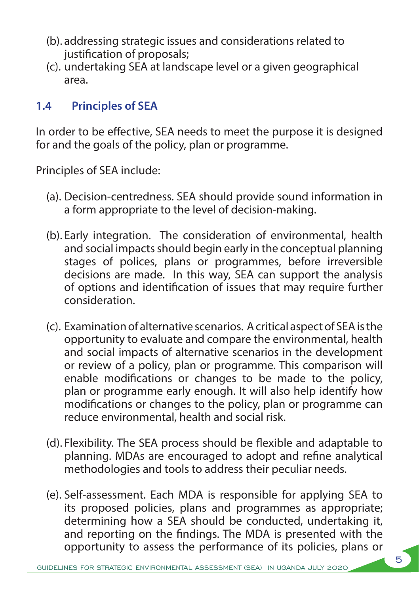- (b). addressing strategic issues and considerations related to justification of proposals;
- (c). undertaking SEA at landscape level or a given geographical area.

#### **1.4 Principles of SEA**

In order to be effective, SEA needs to meet the purpose it is designed for and the goals of the policy, plan or programme.

Principles of SEA include:

- (a). Decision-centredness. SEA should provide sound information in a form appropriate to the level of decision-making.
- (b). Early integration. The consideration of environmental, health and social impacts should begin early in the conceptual planning stages of polices, plans or programmes, before irreversible decisions are made. In this way, SEA can support the analysis of options and identification of issues that may require further consideration.
- (c). Examination of alternative scenarios. A critical aspect of SEA is the opportunity to evaluate and compare the environmental, health and social impacts of alternative scenarios in the development or review of a policy, plan or programme. This comparison will enable modifications or changes to be made to the policy, plan or programme early enough. It will also help identify how modifications or changes to the policy, plan or programme can reduce environmental, health and social risk.
- (d). Flexibility. The SEA process should be flexible and adaptable to planning. MDAs are encouraged to adopt and refine analytical methodologies and tools to address their peculiar needs.
- (e). Self-assessment. Each MDA is responsible for applying SEA to its proposed policies, plans and programmes as appropriate; determining how a SEA should be conducted, undertaking it, and reporting on the findings. The MDA is presented with the opportunity to assess the performance of its policies, plans or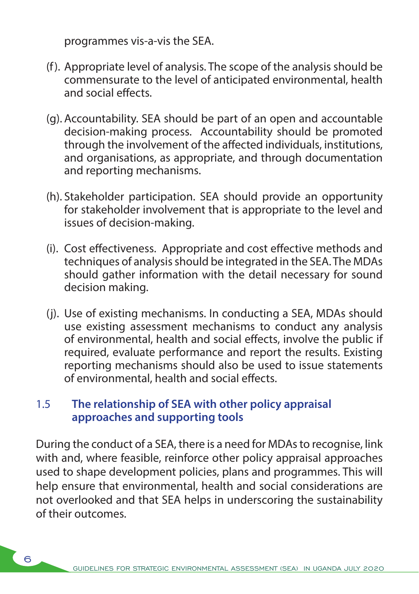programmes vis-a-vis the SEA.

- (f). Appropriate level of analysis. The scope of the analysis should be commensurate to the level of anticipated environmental, health and social effects.
- (g). Accountability. SEA should be part of an open and accountable decision-making process. Accountability should be promoted through the involvement of the affected individuals, institutions, and organisations, as appropriate, and through documentation and reporting mechanisms.
- (h). Stakeholder participation. SEA should provide an opportunity for stakeholder involvement that is appropriate to the level and issues of decision-making.
- (i). Cost effectiveness. Appropriate and cost effective methods and techniques of analysis should be integrated in the SEA. The MDAs should gather information with the detail necessary for sound decision making.
- (j). Use of existing mechanisms. In conducting a SEA, MDAs should use existing assessment mechanisms to conduct any analysis of environmental, health and social effects, involve the public if required, evaluate performance and report the results. Existing reporting mechanisms should also be used to issue statements of environmental, health and social effects.

#### 1.5 **The relationship of SEA with other policy appraisal approaches and supporting tools**

6

During the conduct of a SEA, there is a need for MDAs to recognise, link with and, where feasible, reinforce other policy appraisal approaches used to shape development policies, plans and programmes. This will help ensure that environmental, health and social considerations are not overlooked and that SEA helps in underscoring the sustainability of their outcomes.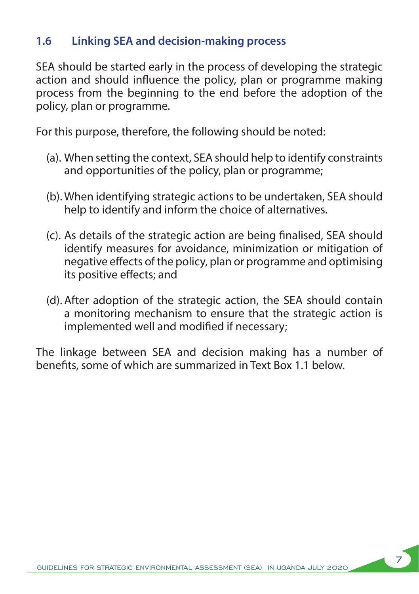#### **1.6 Linking SEA and decision-making process**

SEA should be started early in the process of developing the strategic action and should influence the policy, plan or programme making process from the beginning to the end before the adoption of the policy, plan or programme.

For this purpose, therefore, the following should be noted:

- (a). When setting the context, SEA should help to identify constraints and opportunities of the policy, plan or programme;
- (b). When identifying strategic actions to be undertaken, SEA should help to identify and inform the choice of alternatives.
- (c). As details of the strategic action are being finalised, SEA should identify measures for avoidance, minimization or mitigation of negative effects of the policy, plan or programme and optimising its positive effects; and
- (d). After adoption of the strategic action, the SEA should contain a monitoring mechanism to ensure that the strategic action is implemented well and modified if necessary;

The linkage between SEA and decision making has a number of benefits, some of which are summarized in Text Box 1.1 below.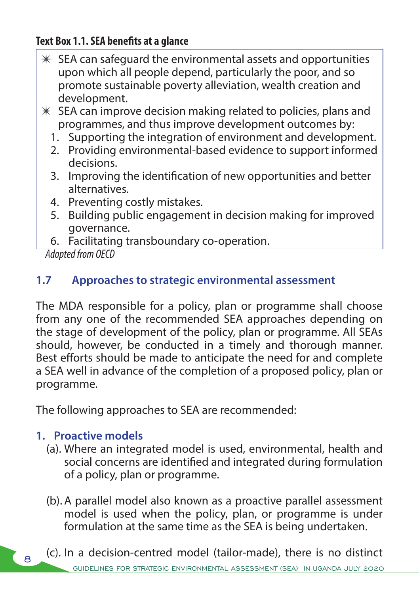#### **Text Box 1.1. SEA benefits at a glance**

- $*$  SEA can safeguard the environmental assets and opportunities upon which all people depend, particularly the poor, and so promote sustainable poverty alleviation, wealth creation and development.
- $*$  SEA can improve decision making related to policies, plans and programmes, and thus improve development outcomes by:
	- 1. Supporting the integration of environment and development.
	- 2. Providing environmental-based evidence to support informed decisions.
	- 3. Improving the identification of new opportunities and better alternatives.
	- 4. Preventing costly mistakes.
	- 5. Building public engagement in decision making for improved governance.
	- 6. Facilitating transboundary co-operation.

*Adopted from OECD*

#### **1.7 Approaches to strategic environmental assessment**

The MDA responsible for a policy, plan or programme shall choose from any one of the recommended SEA approaches depending on the stage of development of the policy, plan or programme. All SEAs should, however, be conducted in a timely and thorough manner. Best efforts should be made to anticipate the need for and complete a SEA well in advance of the completion of a proposed policy, plan or programme.

The following approaches to SEA are recommended:

#### **1. Proactive models**

8

- (a). Where an integrated model is used, environmental, health and social concerns are identified and integrated during formulation of a policy, plan or programme.
- (b). A parallel model also known as a proactive parallel assessment model is used when the policy, plan, or programme is under formulation at the same time as the SEA is being undertaken.
- FOR STRATEGIC ENVIRONMENTAL ASSESSMENT (SEA) IN UGANDA JULY 2020 (c). In a decision-centred model (tailor-made), there is no distinct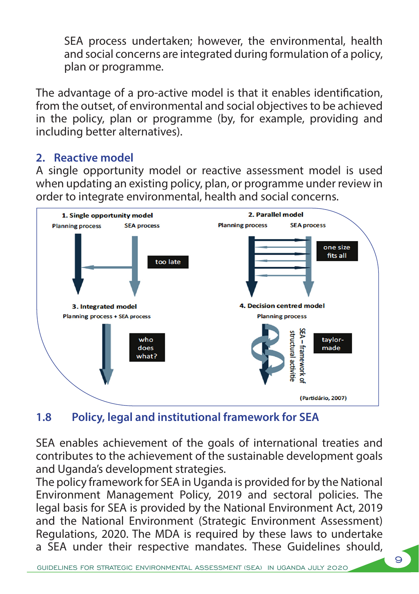SEA process undertaken; however, the environmental, health and social concerns are integrated during formulation of a policy, plan or programme.

The advantage of a pro-active model is that it enables identification, from the outset, of environmental and social objectives to be achieved in the policy, plan or programme (by, for example, providing and including better alternatives).

#### **2. Reactive model**

A single opportunity model or reactive assessment model is used when updating an existing policy, plan, or programme under review in order to integrate environmental, health and social concerns.



#### **1.8 Policy, legal and institutional framework for SEA**

SEA enables achievement of the goals of international treaties and contributes to the achievement of the sustainable development goals and Uganda's development strategies.

The policy framework for SEA in Uganda is provided for by the National Environment Management Policy, 2019 and sectoral policies. The legal basis for SEA is provided by the National Environment Act, 2019 and the National Environment (Strategic Environment Assessment) Regulations, 2020. The MDA is required by these laws to undertake a SEA under their respective mandates. These Guidelines should,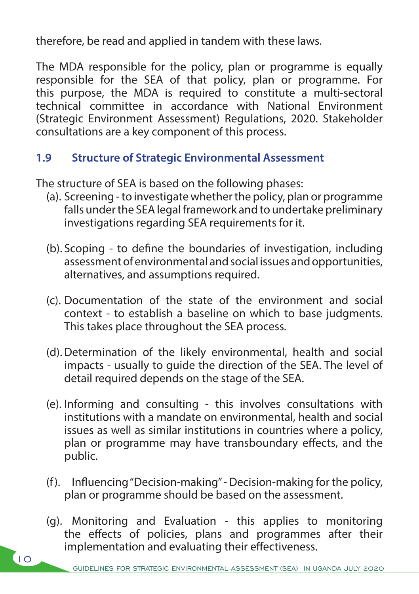therefore, be read and applied in tandem with these laws.

The MDA responsible for the policy, plan or programme is equally responsible for the SEA of that policy, plan or programme. For this purpose, the MDA is required to constitute a multi-sectoral technical committee in accordance with National Environment (Strategic Environment Assessment) Regulations, 2020. Stakeholder consultations are a key component of this process.

#### **1.9 Structure of Strategic Environmental Assessment**

The structure of SEA is based on the following phases:

- (a). Screening to investigate whether the policy, plan or programme falls under the SEA legal framework and to undertake preliminary investigations regarding SEA requirements for it.
- (b). Scoping to define the boundaries of investigation, including assessment of environmental and social issues and opportunities, alternatives, and assumptions required.
- (c). Documentation of the state of the environment and social context - to establish a baseline on which to base judgments. This takes place throughout the SEA process.
- (d).Determination of the likely environmental, health and social impacts - usually to guide the direction of the SEA. The level of detail required depends on the stage of the SEA.
- (e). Informing and consulting this involves consultations with institutions with a mandate on environmental, health and social issues as well as similar institutions in countries where a policy, plan or programme may have transboundary effects, and the public.
- (f). Influencing "Decision-making" Decision-making for the policy, plan or programme should be based on the assessment.
- (g). Monitoring and Evaluation this applies to monitoring the effects of policies, plans and programmes after their implementation and evaluating their effectiveness.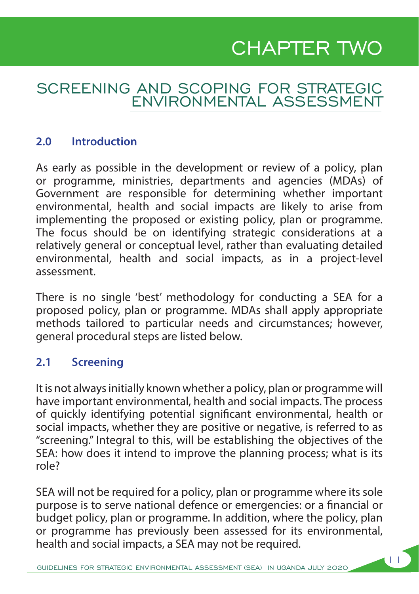## CHAPTER TWO

11

#### SCREENING AND SCOPING FOR STRATEGIC ENVIRONMENTAL ASSESSMENT

#### **2.0 Introduction**

As early as possible in the development or review of a policy, plan or programme, ministries, departments and agencies (MDAs) of Government are responsible for determining whether important environmental, health and social impacts are likely to arise from implementing the proposed or existing policy, plan or programme. The focus should be on identifying strategic considerations at a relatively general or conceptual level, rather than evaluating detailed environmental, health and social impacts, as in a project-level assessment.

There is no single 'best' methodology for conducting a SEA for a proposed policy, plan or programme. MDAs shall apply appropriate methods tailored to particular needs and circumstances; however, general procedural steps are listed below.

#### **2.1 Screening**

It is not always initially known whether a policy, plan or programme will have important environmental, health and social impacts. The process of quickly identifying potential significant environmental, health or social impacts, whether they are positive or negative, is referred to as "screening." Integral to this, will be establishing the objectives of the SEA: how does it intend to improve the planning process; what is its role?

SEA will not be required for a policy, plan or programme where its sole purpose is to serve national defence or emergencies: or a financial or budget policy, plan or programme. In addition, where the policy, plan or programme has previously been assessed for its environmental, health and social impacts, a SEA may not be required.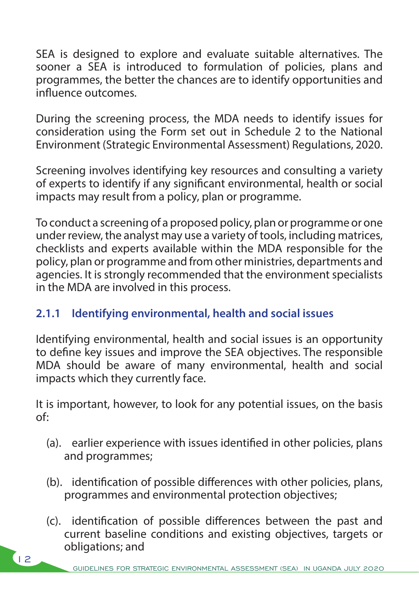SEA is designed to explore and evaluate suitable alternatives. The sooner a SEA is introduced to formulation of policies, plans and programmes, the better the chances are to identify opportunities and influence outcomes.

During the screening process, the MDA needs to identify issues for consideration using the Form set out in Schedule 2 to the National Environment (Strategic Environmental Assessment) Regulations, 2020.

Screening involves identifying key resources and consulting a variety of experts to identify if any significant environmental, health or social impacts may result from a policy, plan or programme.

To conduct a screening of a proposed policy, plan or programme or one under review, the analyst may use a variety of tools, including matrices, checklists and experts available within the MDA responsible for the policy, plan or programme and from other ministries, departments and agencies. It is strongly recommended that the environment specialists in the MDA are involved in this process.

#### **2.1.1 Identifying environmental, health and social issues**

Identifying environmental, health and social issues is an opportunity to define key issues and improve the SEA objectives. The responsible MDA should be aware of many environmental, health and social impacts which they currently face.

It is important, however, to look for any potential issues, on the basis of:

- (a). earlier experience with issues identified in other policies, plans and programmes;
- (b). identification of possible differences with other policies, plans, programmes and environmental protection objectives;
- (c). identification of possible differences between the past and current baseline conditions and existing objectives, targets or obligations; and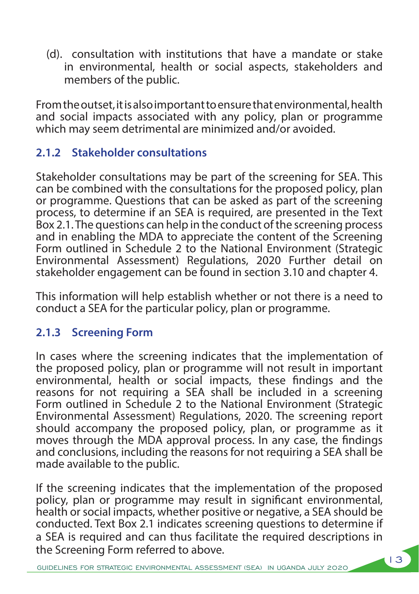(d). consultation with institutions that have a mandate or stake in environmental, health or social aspects, stakeholders and members of the public.

From the outset, it is also important to ensure that environmental, health and social impacts associated with any policy, plan or programme which may seem detrimental are minimized and/or avoided.

#### **2.1.2 Stakeholder consultations**

Stakeholder consultations may be part of the screening for SEA. This can be combined with the consultations for the proposed policy, plan or programme. Questions that can be asked as part of the screening process, to determine if an SEA is required, are presented in the Text Box 2.1. The questions can help in the conduct of the screening process and in enabling the MDA to appreciate the content of the Screening Form outlined in Schedule 2 to the National Environment (Strategic Environmental Assessment) Regulations, 2020 Further detail on stakeholder engagement can be found in section 3.10 and chapter 4.

This information will help establish whether or not there is a need to conduct a SEA for the particular policy, plan or programme.

#### **2.1.3 Screening Form**

In cases where the screening indicates that the implementation of the proposed policy, plan or programme will not result in important environmental, health or social impacts, these findings and the reasons for not requiring a SEA shall be included in a screening Form outlined in Schedule 2 to the National Environment (Strategic Environmental Assessment) Regulations, 2020. The screening report should accompany the proposed policy, plan, or programme as it moves through the MDA approval process. In any case, the findings and conclusions, including the reasons for not requiring a SEA shall be made available to the public.

If the screening indicates that the implementation of the proposed policy, plan or programme may result in significant environmental, health or social impacts, whether positive or negative, a SEA should be conducted. Text Box 2.1 indicates screening questions to determine if a SEA is required and can thus facilitate the required descriptions in the Screening Form referred to above.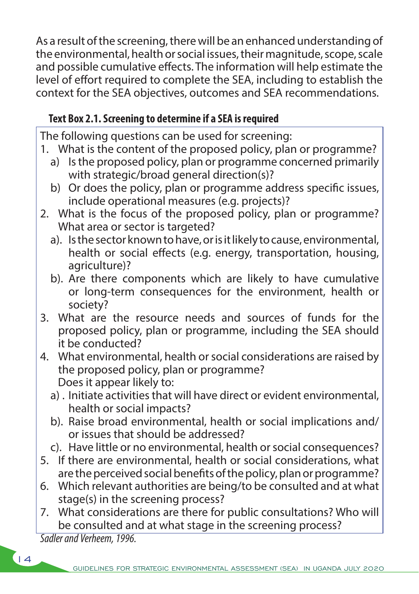As a result of the screening, there will be an enhanced understanding of the environmental, health or social issues, their magnitude, scope, scale and possible cumulative effects. The information will help estimate the level of effort required to complete the SEA, including to establish the context for the SEA objectives, outcomes and SEA recommendations.

#### **Text Box 2.1. Screening to determine if a SEA is required**

The following questions can be used for screening:

- 1. What is the content of the proposed policy, plan or programme?
	- a) Is the proposed policy, plan or programme concerned primarily with strategic/broad general direction(s)?
	- b) Or does the policy, plan or programme address specific issues, include operational measures (e.g. projects)?
- 2. What is the focus of the proposed policy, plan or programme? What area or sector is targeted?
	- a). Is the sector known to have, or is it likely to cause, environmental, health or social effects (e.g. energy, transportation, housing, agriculture)?
	- b). Are there components which are likely to have cumulative or long-term consequences for the environment, health or society?
- 3. What are the resource needs and sources of funds for the proposed policy, plan or programme, including the SEA should it be conducted?
- 4. What environmental, health or social considerations are raised by the proposed policy, plan or programme? Does it appear likely to:
	- a) . Initiate activities that will have direct or evident environmental, health or social impacts?
	- b). Raise broad environmental, health or social implications and/ or issues that should be addressed?
	- c). Have little or no environmental, health or social consequences?
- 5. If there are environmental, health or social considerations, what are the perceived social benefits of the policy, plan or programme?
- 6. Which relevant authorities are being/to be consulted and at what stage(s) in the screening process?
- 7. What considerations are there for public consultations? Who will be consulted and at what stage in the screening process?

 *Sadler and Verheem, 1996.*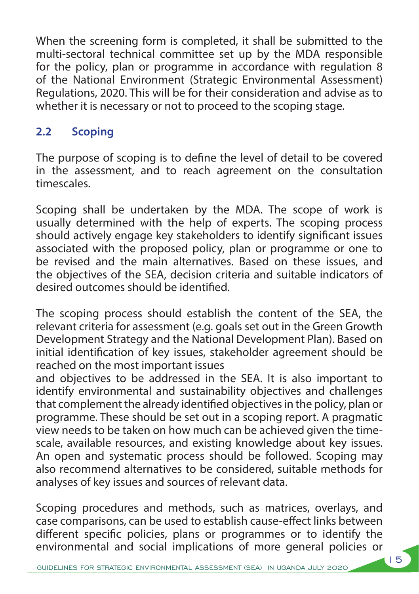When the screening form is completed, it shall be submitted to the multi-sectoral technical committee set up by the MDA responsible for the policy, plan or programme in accordance with regulation 8 of the National Environment (Strategic Environmental Assessment) Regulations, 2020. This will be for their consideration and advise as to whether it is necessary or not to proceed to the scoping stage.

#### **2.2 Scoping**

The purpose of scoping is to define the level of detail to be covered in the assessment, and to reach agreement on the consultation timescales.

Scoping shall be undertaken by the MDA. The scope of work is usually determined with the help of experts. The scoping process should actively engage key stakeholders to identify significant issues associated with the proposed policy, plan or programme or one to be revised and the main alternatives. Based on these issues, and the objectives of the SEA, decision criteria and suitable indicators of desired outcomes should be identified.

The scoping process should establish the content of the SEA, the relevant criteria for assessment (e.g. goals set out in the Green Growth Development Strategy and the National Development Plan). Based on initial identification of key issues, stakeholder agreement should be reached on the most important issues

and objectives to be addressed in the SEA. It is also important to identify environmental and sustainability objectives and challenges that complement the already identified objectives in the policy, plan or programme. These should be set out in a scoping report. A pragmatic view needs to be taken on how much can be achieved given the timescale, available resources, and existing knowledge about key issues. An open and systematic process should be followed. Scoping may also recommend alternatives to be considered, suitable methods for analyses of key issues and sources of relevant data.

Scoping procedures and methods, such as matrices, overlays, and case comparisons, can be used to establish cause-effect links between different specific policies, plans or programmes or to identify the environmental and social implications of more general policies or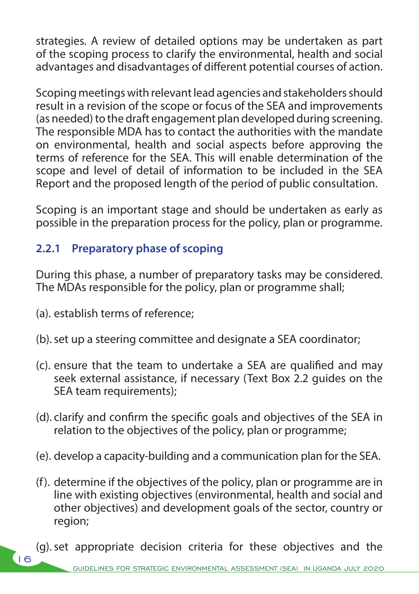strategies. A review of detailed options may be undertaken as part of the scoping process to clarify the environmental, health and social advantages and disadvantages of different potential courses of action.

Scoping meetings with relevant lead agencies and stakeholders should result in a revision of the scope or focus of the SEA and improvements (as needed) to the draft engagement plan developed during screening. The responsible MDA has to contact the authorities with the mandate on environmental, health and social aspects before approving the terms of reference for the SEA. This will enable determination of the scope and level of detail of information to be included in the SEA Report and the proposed length of the period of public consultation.

Scoping is an important stage and should be undertaken as early as possible in the preparation process for the policy, plan or programme.

#### **2.2.1 Preparatory phase of scoping**

During this phase, a number of preparatory tasks may be considered. The MDAs responsible for the policy, plan or programme shall;

(a). establish terms of reference;

 $(16$ 

- (b).set up a steering committee and designate a SEA coordinator;
- (c). ensure that the team to undertake a SEA are qualified and may seek external assistance, if necessary (Text Box 2.2 guides on the SEA team requirements);
- (d). clarify and confirm the specific goals and objectives of the SEA in relation to the objectives of the policy, plan or programme;
- (e). develop a capacity-building and a communication plan for the SEA.
- (f). determine if the objectives of the policy, plan or programme are in line with existing objectives (environmental, health and social and other objectives) and development goals of the sector, country or region;
- (g).set appropriate decision criteria for these objectives and the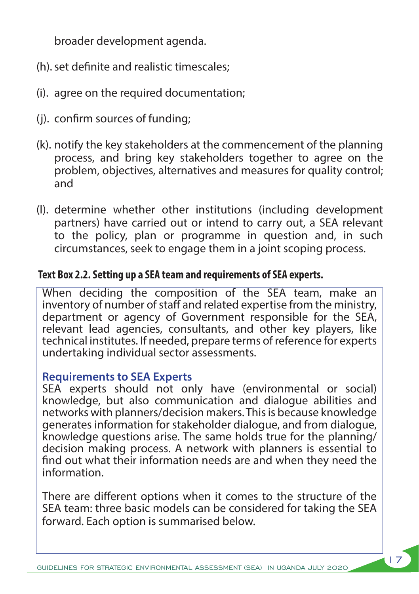broader development agenda.

- (h).set definite and realistic timescales;
- (i). agree on the required documentation;
- (j). confirm sources of funding;
- (k). notify the key stakeholders at the commencement of the planning process, and bring key stakeholders together to agree on the problem, objectives, alternatives and measures for quality control; and
- (l). determine whether other institutions (including development partners) have carried out or intend to carry out, a SEA relevant to the policy, plan or programme in question and, in such circumstances, seek to engage them in a joint scoping process.

#### **Text Box 2.2. Setting up a SEA team and requirements of SEA experts.**

When deciding the composition of the SEA team, make an inventory of number of staff and related expertise from the ministry, department or agency of Government responsible for the SEA, relevant lead agencies, consultants, and other key players, like technical institutes. If needed, prepare terms of reference for experts undertaking individual sector assessments.

#### **Requirements to SEA Experts**

SEA experts should not only have (environmental or social) knowledge, but also communication and dialogue abilities and networks with planners/decision makers. This is because knowledge generates information for stakeholder dialogue, and from dialogue, knowledge questions arise. The same holds true for the planning/ decision making process. A network with planners is essential to find out what their information needs are and when they need the information.

There are different options when it comes to the structure of the SEA team: three basic models can be considered for taking the SEA forward. Each option is summarised below.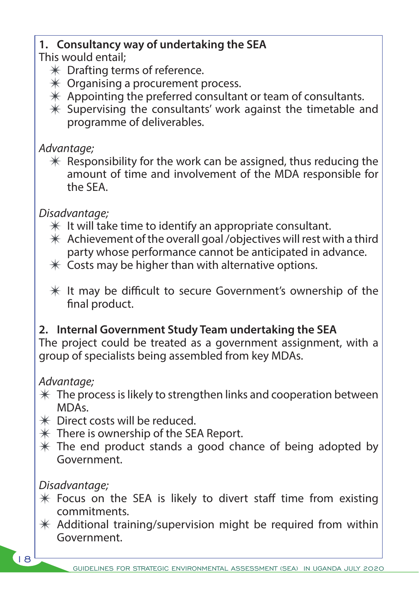#### **1. Consultancy way of undertaking the SEA**

This would entail;

- $*$  Drafting terms of reference.
- $*$  Organising a procurement process.
- $*$  Appointing the preferred consultant or team of consultants.
- $*$  Supervising the consultants' work against the timetable and programme of deliverables.

#### *Advantage;*

 $*$  Responsibility for the work can be assigned, thus reducing the amount of time and involvement of the MDA responsible for the SEA.

#### *Disadvantage;*

- $*$  It will take time to identify an appropriate consultant.
- $*$  Achievement of the overall goal /objectives will rest with a third party whose performance cannot be anticipated in advance.
- $*$  Costs may be higher than with alternative options.
- $*$  It may be difficult to secure Government's ownership of the final product.

#### **2. Internal Government Study Team undertaking the SEA**

The project could be treated as a government assignment, with a group of specialists being assembled from key MDAs.

#### *Advantage;*

- $*$  The process is likely to strengthen links and cooperation between MDAs.
- $*$  Direct costs will be reduced.
- $*$  There is ownership of the SEA Report.
- $*$  The end product stands a good chance of being adopted by Government.

#### *Disadvantage;*

- $*$  Focus on the SEA is likely to divert staff time from existing commitments.
- $*$  Additional training/supervision might be required from within Government.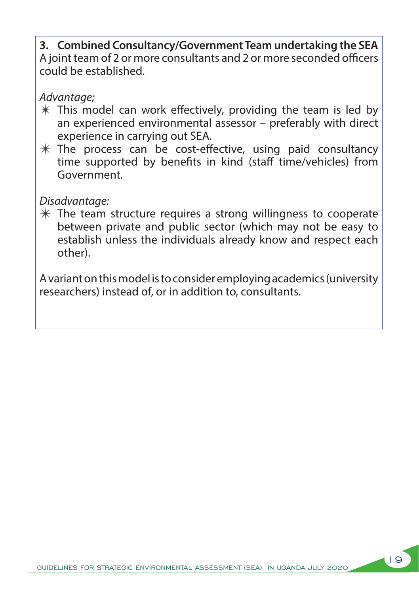**3. Combined Consultancy/Government Team undertaking the SEA** A joint team of 2 or more consultants and 2 or more seconded officers could be established.

#### *Advantage;*

- $*$  This model can work effectively, providing the team is led by an experienced environmental assessor – preferably with direct experience in carrying out SEA.
- $*$  The process can be cost-effective, using paid consultancy time supported by benefits in kind (staff time/vehicles) from Government.

#### *Disadvantage:*

 $*$  The team structure requires a strong willingness to cooperate between private and public sector (which may not be easy to establish unless the individuals already know and respect each other).

A variant on this model is to consider employing academics (university researchers) instead of, or in addition to, consultants.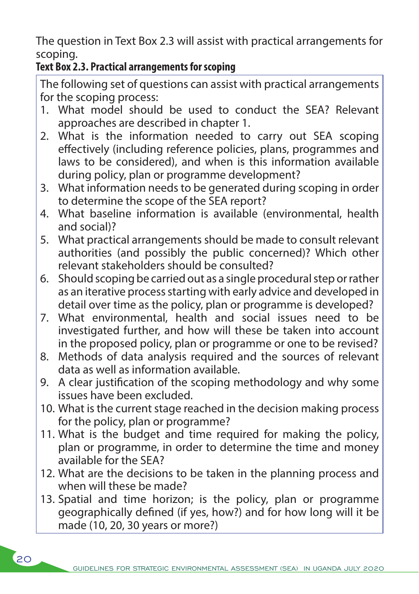The question in Text Box 2.3 will assist with practical arrangements for scoping.

#### **Text Box 2.3. Practical arrangements for scoping**

The following set of questions can assist with practical arrangements for the scoping process:

- 1. What model should be used to conduct the SEA? Relevant approaches are described in chapter 1.
- 2. What is the information needed to carry out SEA scoping effectively (including reference policies, plans, programmes and laws to be considered), and when is this information available during policy, plan or programme development?
- 3. What information needs to be generated during scoping in order to determine the scope of the SEA report?
- 4. What baseline information is available (environmental, health and social)?
- 5. What practical arrangements should be made to consult relevant authorities (and possibly the public concerned)? Which other relevant stakeholders should be consulted?
- 6. Should scoping be carried out as a single procedural step or rather as an iterative process starting with early advice and developed in detail over time as the policy, plan or programme is developed?
- 7. What environmental, health and social issues need to be investigated further, and how will these be taken into account in the proposed policy, plan or programme or one to be revised?
- 8. Methods of data analysis required and the sources of relevant data as well as information available.
- 9. A clear justification of the scoping methodology and why some issues have been excluded.
- 10. What is the current stage reached in the decision making process for the policy, plan or programme?
- 11. What is the budget and time required for making the policy, plan or programme, in order to determine the time and money available for the SEA?
- 12. What are the decisions to be taken in the planning process and when will these be made?
- 13. Spatial and time horizon; is the policy, plan or programme geographically defined (if yes, how?) and for how long will it be made (10, 20, 30 years or more?)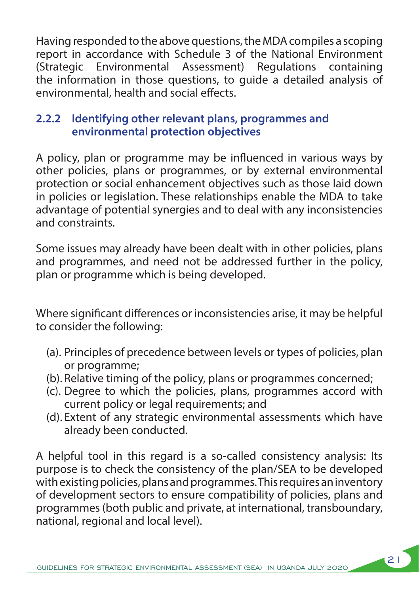Having responded to the above questions, the MDA compiles a scoping report in accordance with Schedule 3 of the National Environment (Strategic Environmental Assessment) Regulations containing the information in those questions, to guide a detailed analysis of environmental, health and social effects.

#### **2.2.2 Identifying other relevant plans, programmes and environmental protection objectives**

A policy, plan or programme may be influenced in various ways by other policies, plans or programmes, or by external environmental protection or social enhancement objectives such as those laid down in policies or legislation. These relationships enable the MDA to take advantage of potential synergies and to deal with any inconsistencies and constraints.

Some issues may already have been dealt with in other policies, plans and programmes, and need not be addressed further in the policy, plan or programme which is being developed.

Where significant differences or inconsistencies arise, it may be helpful to consider the following:

- (a). Principles of precedence between levels or types of policies, plan or programme;
- (b). Relative timing of the policy, plans or programmes concerned;
- (c). Degree to which the policies, plans, programmes accord with current policy or legal requirements; and
- (d). Extent of any strategic environmental assessments which have already been conducted.

A helpful tool in this regard is a so-called consistency analysis: Its purpose is to check the consistency of the plan/SEA to be developed with existing policies, plans and programmes. This requires an inventory of development sectors to ensure compatibility of policies, plans and programmes (both public and private, at international, transboundary, national, regional and local level).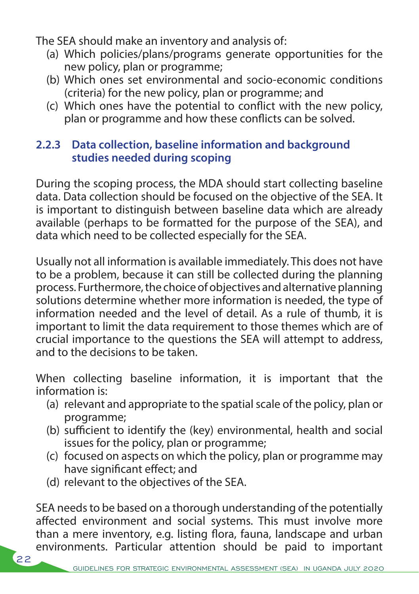The SEA should make an inventory and analysis of:

- (a) Which policies/plans/programs generate opportunities for the new policy, plan or programme;
- (b) Which ones set environmental and socio-economic conditions (criteria) for the new policy, plan or programme; and
- (c) Which ones have the potential to conflict with the new policy, plan or programme and how these conflicts can be solved.

#### **2.2.3 Data collection, baseline information and background studies needed during scoping**

During the scoping process, the MDA should start collecting baseline data. Data collection should be focused on the objective of the SEA. It is important to distinguish between baseline data which are already available (perhaps to be formatted for the purpose of the SEA), and data which need to be collected especially for the SEA.

Usually not all information is available immediately. This does not have to be a problem, because it can still be collected during the planning process. Furthermore, the choice of objectives and alternative planning solutions determine whether more information is needed, the type of information needed and the level of detail. As a rule of thumb, it is important to limit the data requirement to those themes which are of crucial importance to the questions the SEA will attempt to address, and to the decisions to be taken.

When collecting baseline information, it is important that the information is:

- (a) relevant and appropriate to the spatial scale of the policy, plan or programme;
- (b) sufficient to identify the (key) environmental, health and social issues for the policy, plan or programme;
- (c) focused on aspects on which the policy, plan or programme may have significant effect; and
- (d) relevant to the objectives of the SEA.

SEA needs to be based on a thorough understanding of the potentially affected environment and social systems. This must involve more than a mere inventory, e.g. listing flora, fauna, landscape and urban environments. Particular attention should be paid to important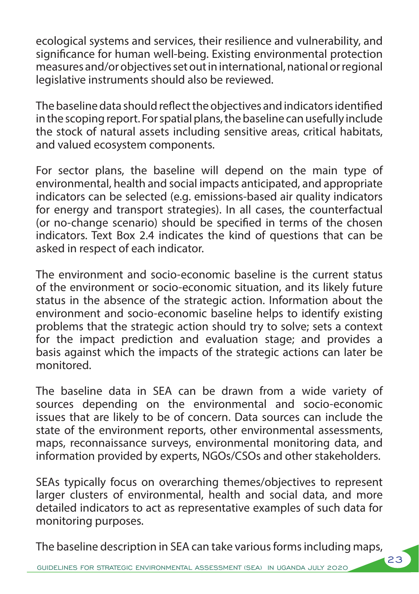ecological systems and services, their resilience and vulnerability, and significance for human well-being. Existing environmental protection measures and/or objectives set out in international, national or regional legislative instruments should also be reviewed.

The baseline data should reflect the objectives and indicators identified in the scoping report. For spatial plans, the baseline can usefully include the stock of natural assets including sensitive areas, critical habitats, and valued ecosystem components.

For sector plans, the baseline will depend on the main type of environmental, health and social impacts anticipated, and appropriate indicators can be selected (e.g. emissions-based air quality indicators for energy and transport strategies). In all cases, the counterfactual (or no-change scenario) should be specified in terms of the chosen indicators. Text Box 2.4 indicates the kind of questions that can be asked in respect of each indicator.

The environment and socio-economic baseline is the current status of the environment or socio-economic situation, and its likely future status in the absence of the strategic action. Information about the environment and socio-economic baseline helps to identify existing problems that the strategic action should try to solve; sets a context for the impact prediction and evaluation stage; and provides a basis against which the impacts of the strategic actions can later be monitored.

The baseline data in SEA can be drawn from a wide variety of sources depending on the environmental and socio-economic issues that are likely to be of concern. Data sources can include the state of the environment reports, other environmental assessments, maps, reconnaissance surveys, environmental monitoring data, and information provided by experts, NGOs/CSOs and other stakeholders.

SEAs typically focus on overarching themes/objectives to represent larger clusters of environmental, health and social data, and more detailed indicators to act as representative examples of such data for monitoring purposes.

The baseline description in SEA can take various forms including maps,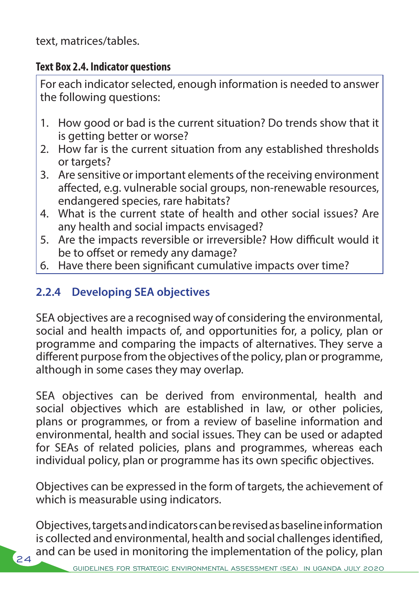text, matrices/tables.

#### **Text Box 2.4. Indicator questions**

For each indicator selected, enough information is needed to answer the following questions:

- 1. How good or bad is the current situation? Do trends show that it is getting better or worse?
- 2. How far is the current situation from any established thresholds or targets?
- 3. Are sensitive or important elements of the receiving environment affected, e.g. vulnerable social groups, non-renewable resources, endangered species, rare habitats?
- 4. What is the current state of health and other social issues? Are any health and social impacts envisaged?
- 5. Are the impacts reversible or irreversible? How difficult would it be to offset or remedy any damage?
- 6. Have there been significant cumulative impacts over time?

#### **2.2.4 Developing SEA objectives**

SEA objectives are a recognised way of considering the environmental, social and health impacts of, and opportunities for, a policy, plan or programme and comparing the impacts of alternatives. They serve a different purpose from the objectives of the policy, plan or programme, although in some cases they may overlap.

SEA objectives can be derived from environmental, health and social objectives which are established in law, or other policies, plans or programmes, or from a review of baseline information and environmental, health and social issues. They can be used or adapted for SEAs of related policies, plans and programmes, whereas each individual policy, plan or programme has its own specific objectives.

Objectives can be expressed in the form of targets, the achievement of which is measurable using indicators.

Objectives, targets and indicators can be revised as baseline information is collected and environmental, health and social challenges identified, and can be used in monitoring the implementation of the policy, plan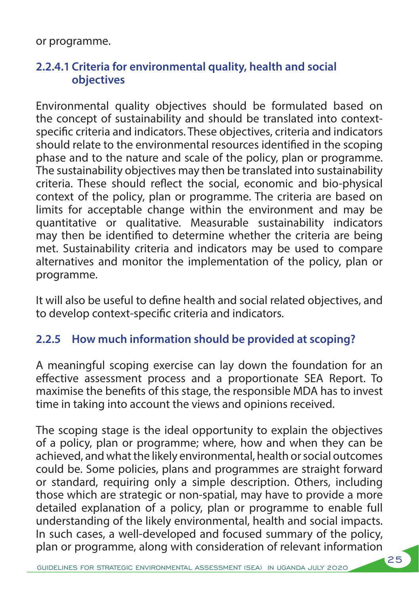or programme.

#### **2.2.4.1 Criteria for environmental quality, health and social objectives**

Environmental quality objectives should be formulated based on the concept of sustainability and should be translated into contextspecific criteria and indicators. These objectives, criteria and indicators should relate to the environmental resources identified in the scoping phase and to the nature and scale of the policy, plan or programme. The sustainability objectives may then be translated into sustainability criteria. These should reflect the social, economic and bio-physical context of the policy, plan or programme. The criteria are based on limits for acceptable change within the environment and may be quantitative or qualitative. Measurable sustainability indicators may then be identified to determine whether the criteria are being met. Sustainability criteria and indicators may be used to compare alternatives and monitor the implementation of the policy, plan or programme.

It will also be useful to define health and social related objectives, and to develop context-specific criteria and indicators.

#### **2.2.5 How much information should be provided at scoping?**

A meaningful scoping exercise can lay down the foundation for an effective assessment process and a proportionate SEA Report. To maximise the benefits of this stage, the responsible MDA has to invest time in taking into account the views and opinions received.

The scoping stage is the ideal opportunity to explain the objectives of a policy, plan or programme; where, how and when they can be achieved, and what the likely environmental, health or social outcomes could be. Some policies, plans and programmes are straight forward or standard, requiring only a simple description. Others, including those which are strategic or non-spatial, may have to provide a more detailed explanation of a policy, plan or programme to enable full understanding of the likely environmental, health and social impacts. In such cases, a well-developed and focused summary of the policy, plan or programme, along with consideration of relevant information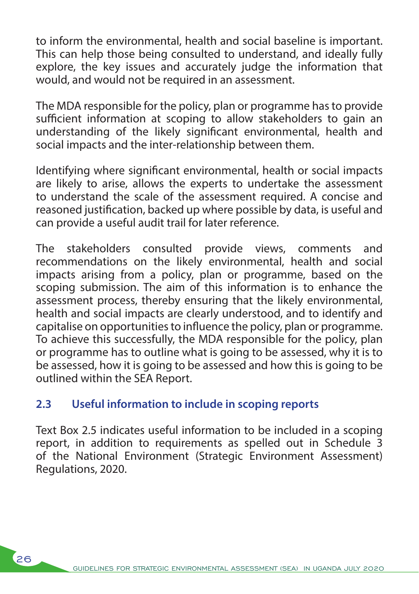to inform the environmental, health and social baseline is important. This can help those being consulted to understand, and ideally fully explore, the key issues and accurately judge the information that would, and would not be required in an assessment.

The MDA responsible for the policy, plan or programme has to provide sufficient information at scoping to allow stakeholders to gain an understanding of the likely significant environmental, health and social impacts and the inter-relationship between them.

Identifying where significant environmental, health or social impacts are likely to arise, allows the experts to undertake the assessment to understand the scale of the assessment required. A concise and reasoned justification, backed up where possible by data, is useful and can provide a useful audit trail for later reference.

The stakeholders consulted provide views, comments and recommendations on the likely environmental, health and social impacts arising from a policy, plan or programme, based on the scoping submission. The aim of this information is to enhance the assessment process, thereby ensuring that the likely environmental, health and social impacts are clearly understood, and to identify and capitalise on opportunities to influence the policy, plan or programme. To achieve this successfully, the MDA responsible for the policy, plan or programme has to outline what is going to be assessed, why it is to be assessed, how it is going to be assessed and how this is going to be outlined within the SEA Report.

#### **2.3 Useful information to include in scoping reports**

 $\mathcal{L}_{26}$ 

Text Box 2.5 indicates useful information to be included in a scoping report, in addition to requirements as spelled out in Schedule 3 of the National Environment (Strategic Environment Assessment) Regulations, 2020.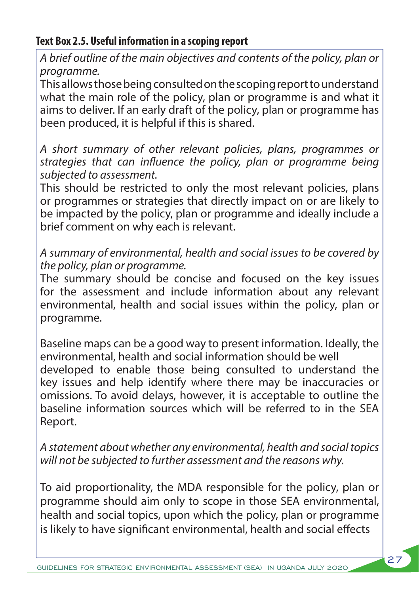#### **Text Box 2.5. Useful information in a scoping report**

*A brief outline of the main objectives and contents of the policy, plan or programme.*

This allows those being consulted on the scoping report to understand what the main role of the policy, plan or programme is and what it aims to deliver. If an early draft of the policy, plan or programme has been produced, it is helpful if this is shared.

*A short summary of other relevant policies, plans, programmes or strategies that can influence the policy, plan or programme being subjected to assessment.*

This should be restricted to only the most relevant policies, plans or programmes or strategies that directly impact on or are likely to be impacted by the policy, plan or programme and ideally include a brief comment on why each is relevant.

*A summary of environmental, health and social issues to be covered by the policy, plan or programme.* 

The summary should be concise and focused on the key issues for the assessment and include information about any relevant environmental, health and social issues within the policy, plan or programme.

Baseline maps can be a good way to present information. Ideally, the environmental, health and social information should be well developed to enable those being consulted to understand the key issues and help identify where there may be inaccuracies or omissions. To avoid delays, however, it is acceptable to outline the baseline information sources which will be referred to in the SEA Report.

*A statement about whether any environmental, health and social topics will not be subjected to further assessment and the reasons why.* 

To aid proportionality, the MDA responsible for the policy, plan or programme should aim only to scope in those SEA environmental, health and social topics, upon which the policy, plan or programme is likely to have significant environmental, health and social effects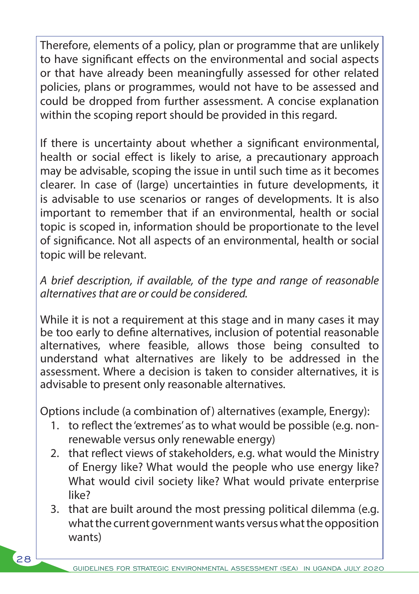Therefore, elements of a policy, plan or programme that are unlikely to have significant effects on the environmental and social aspects or that have already been meaningfully assessed for other related policies, plans or programmes, would not have to be assessed and could be dropped from further assessment. A concise explanation within the scoping report should be provided in this regard.

If there is uncertainty about whether a significant environmental, health or social effect is likely to arise, a precautionary approach may be advisable, scoping the issue in until such time as it becomes clearer. In case of (large) uncertainties in future developments, it is advisable to use scenarios or ranges of developments. It is also important to remember that if an environmental, health or social topic is scoped in, information should be proportionate to the level of significance. Not all aspects of an environmental, health or social topic will be relevant.

### *A brief description, if available, of the type and range of reasonable alternatives that are or could be considered.*

While it is not a requirement at this stage and in many cases it may be too early to define alternatives, inclusion of potential reasonable alternatives, where feasible, allows those being consulted to understand what alternatives are likely to be addressed in the assessment. Where a decision is taken to consider alternatives, it is advisable to present only reasonable alternatives.

Options include (a combination of) alternatives (example, Energy):

- 1. to reflect the 'extremes' as to what would be possible (e.g. nonrenewable versus only renewable energy)
- 2. that reflect views of stakeholders, e.g. what would the Ministry of Energy like? What would the people who use energy like? What would civil society like? What would private enterprise like?
- 3. that are built around the most pressing political dilemma (e.g. what the current government wants versus what the opposition wants)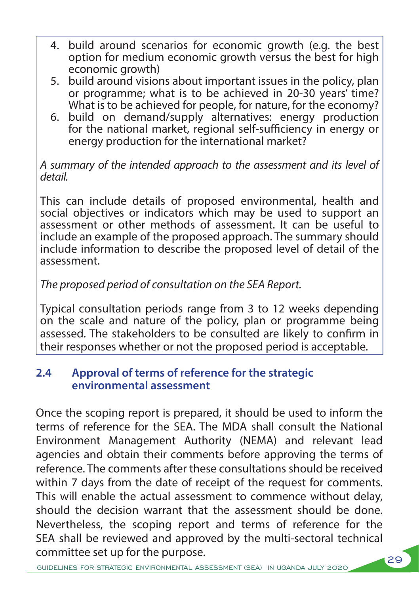- 4. build around scenarios for economic growth (e.g. the best option for medium economic growth versus the best for high economic growth)
- 5. build around visions about important issues in the policy, plan or programme; what is to be achieved in 20-30 years' time? What is to be achieved for people, for nature, for the economy?
- 6. build on demand/supply alternatives: energy production for the national market, regional self-sufficiency in energy or energy production for the international market?

#### *A summary of the intended approach to the assessment and its level of detail.*

This can include details of proposed environmental, health and social objectives or indicators which may be used to support an assessment or other methods of assessment. It can be useful to include an example of the proposed approach. The summary should include information to describe the proposed level of detail of the assessment.

### *The proposed period of consultation on the SEA Report.*

Typical consultation periods range from 3 to 12 weeks depending on the scale and nature of the policy, plan or programme being assessed. The stakeholders to be consulted are likely to confirm in their responses whether or not the proposed period is acceptable.

### **2.4 Approval of terms of reference for the strategic environmental assessment**

Once the scoping report is prepared, it should be used to inform the terms of reference for the SEA. The MDA shall consult the National Environment Management Authority (NEMA) and relevant lead agencies and obtain their comments before approving the terms of reference. The comments after these consultations should be received within 7 days from the date of receipt of the request for comments. This will enable the actual assessment to commence without delay, should the decision warrant that the assessment should be done. Nevertheless, the scoping report and terms of reference for the SEA shall be reviewed and approved by the multi-sectoral technical committee set up for the purpose.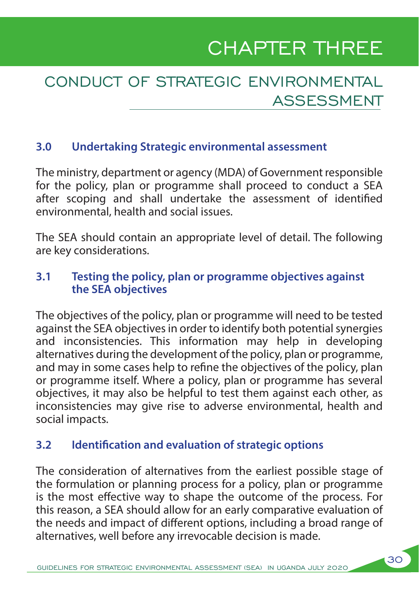# CHAPTER THREE

# CONDUCT OF STRATEGIC ENVIRONMENTAL ASSESSMENT

### **3.0 Undertaking Strategic environmental assessment**

The ministry, department or agency (MDA) of Government responsible for the policy, plan or programme shall proceed to conduct a SEA after scoping and shall undertake the assessment of identified environmental, health and social issues.

The SEA should contain an appropriate level of detail. The following are key considerations.

### **3.1 Testing the policy, plan or programme objectives against the SEA objectives**

The objectives of the policy, plan or programme will need to be tested against the SEA objectives in order to identify both potential synergies and inconsistencies. This information may help in developing alternatives during the development of the policy, plan or programme, and may in some cases help to refine the objectives of the policy, plan or programme itself. Where a policy, plan or programme has several objectives, it may also be helpful to test them against each other, as inconsistencies may give rise to adverse environmental, health and social impacts.

### **3.2 Identification and evaluation of strategic options**

The consideration of alternatives from the earliest possible stage of the formulation or planning process for a policy, plan or programme is the most effective way to shape the outcome of the process. For this reason, a SEA should allow for an early comparative evaluation of the needs and impact of different options, including a broad range of alternatives, well before any irrevocable decision is made.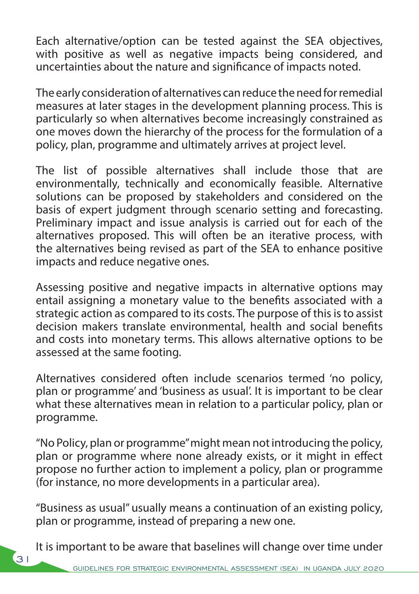Each alternative/option can be tested against the SEA objectives, with positive as well as negative impacts being considered, and uncertainties about the nature and significance of impacts noted.

The early consideration of alternatives can reduce the need for remedial measures at later stages in the development planning process. This is particularly so when alternatives become increasingly constrained as one moves down the hierarchy of the process for the formulation of a policy, plan, programme and ultimately arrives at project level.

The list of possible alternatives shall include those that are environmentally, technically and economically feasible. Alternative solutions can be proposed by stakeholders and considered on the basis of expert judgment through scenario setting and forecasting. Preliminary impact and issue analysis is carried out for each of the alternatives proposed. This will often be an iterative process, with the alternatives being revised as part of the SEA to enhance positive impacts and reduce negative ones.

Assessing positive and negative impacts in alternative options may entail assigning a monetary value to the benefits associated with a strategic action as compared to its costs. The purpose of this is to assist decision makers translate environmental, health and social benefits and costs into monetary terms. This allows alternative options to be assessed at the same footing.

Alternatives considered often include scenarios termed 'no policy, plan or programme' and 'business as usual'. It is important to be clear what these alternatives mean in relation to a particular policy, plan or programme.

"No Policy, plan or programme" might mean not introducing the policy, plan or programme where none already exists, or it might in effect propose no further action to implement a policy, plan or programme (for instance, no more developments in a particular area).

"Business as usual" usually means a continuation of an existing policy, plan or programme, instead of preparing a new one.

It is important to be aware that baselines will change over time under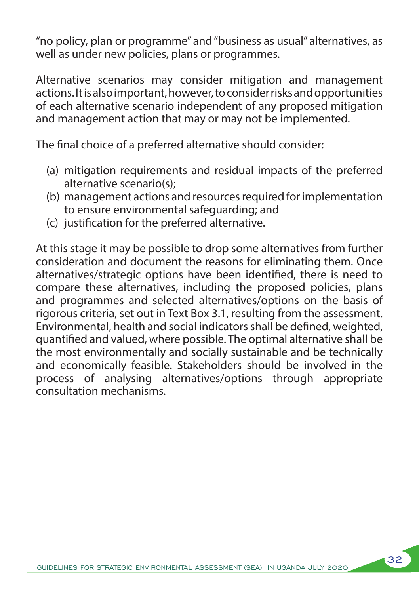"no policy, plan or programme" and "business as usual" alternatives, as well as under new policies, plans or programmes.

Alternative scenarios may consider mitigation and management actions. It is also important, however, to consider risks and opportunities of each alternative scenario independent of any proposed mitigation and management action that may or may not be implemented.

The final choice of a preferred alternative should consider:

- (a) mitigation requirements and residual impacts of the preferred alternative scenario(s);
- (b) management actions and resources required for implementation to ensure environmental safeguarding; and
- (c) justification for the preferred alternative.

At this stage it may be possible to drop some alternatives from further consideration and document the reasons for eliminating them. Once alternatives/strategic options have been identified, there is need to compare these alternatives, including the proposed policies, plans and programmes and selected alternatives/options on the basis of rigorous criteria, set out in Text Box 3.1, resulting from the assessment. Environmental, health and social indicators shall be defined, weighted, quantified and valued, where possible. The optimal alternative shall be the most environmentally and socially sustainable and be technically and economically feasible. Stakeholders should be involved in the process of analysing alternatives/options through appropriate consultation mechanisms.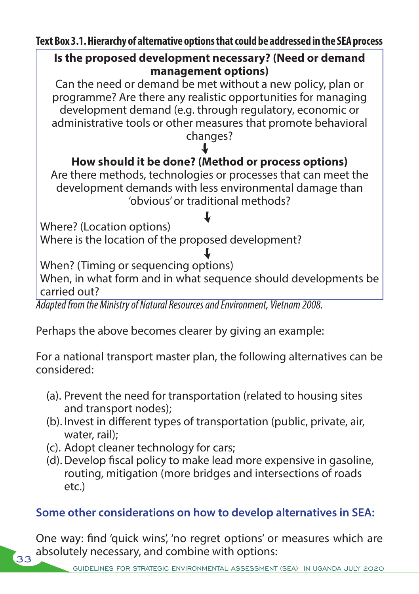**Text Box 3.1. Hierarchy of alternative options that could be addressed in the SEA process**

### **Is the proposed development necessary? (Need or demand management options)**

Can the need or demand be met without a new policy, plan or programme? Are there any realistic opportunities for managing development demand (e.g. through regulatory, economic or administrative tools or other measures that promote behavioral changes?

# $\downarrow$

# **How should it be done? (Method or process options)**

Are there methods, technologies or processes that can meet the development demands with less environmental damage than 'obvious' or traditional methods?

# $\downarrow$

Where? (Location options) Where is the location of the proposed development?

### $\downarrow$

When? (Timing or sequencing options)

When, in what form and in what sequence should developments be carried out?

*Adapted from the Ministry of Natural Resources and Environment, Vietnam 2008.*

Perhaps the above becomes clearer by giving an example:

For a national transport master plan, the following alternatives can be considered:

- (a). Prevent the need for transportation (related to housing sites and transport nodes);
- (b). Invest in different types of transportation (public, private, air, water, rail);
- (c). Adopt cleaner technology for cars;

33

(d).Develop fiscal policy to make lead more expensive in gasoline, routing, mitigation (more bridges and intersections of roads etc.)

### **Some other considerations on how to develop alternatives in SEA:**

One way: find 'quick wins', 'no regret options' or measures which are absolutely necessary, and combine with options: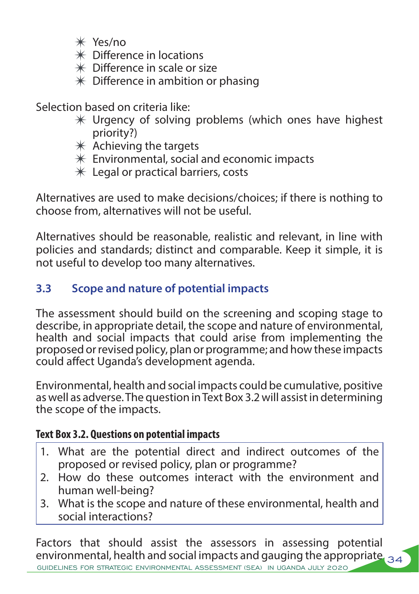- $*$  Yes/no
- $*$  Difference in locations
- $*$  Difference in scale or size
- $*$  Difference in ambition or phasing

Selection based on criteria like:

- $*$  Urgency of solving problems (which ones have highest priority?)
- $*$  Achieving the targets
- $*$  Environmental, social and economic impacts
- $*$  Legal or practical barriers, costs

Alternatives are used to make decisions/choices; if there is nothing to choose from, alternatives will not be useful.

Alternatives should be reasonable, realistic and relevant, in line with policies and standards; distinct and comparable. Keep it simple, it is not useful to develop too many alternatives.

## **3.3 Scope and nature of potential impacts**

The assessment should build on the screening and scoping stage to describe, in appropriate detail, the scope and nature of environmental, health and social impacts that could arise from implementing the proposed or revised policy, plan or programme; and how these impacts could affect Uganda's development agenda.

Environmental, health and social impacts could be cumulative, positive as well as adverse. The question in Text Box 3.2 will assist in determining the scope of the impacts.

### **Text Box 3.2. Questions on potential impacts**

- 1. What are the potential direct and indirect outcomes of the proposed or revised policy, plan or programme?
- 2. How do these outcomes interact with the environment and human well-being?
- 3. What is the scope and nature of these environmental, health and social interactions?

environmental, health and social impacts and gauging the appropriate  $_{\mathcal{34}}$ GUIDELINES FOR STRATEGIC ENVIRONMENTAL ASSESSMENT (SEA) IN UGANDA JULY 2020 Factors that should assist the assessors in assessing potential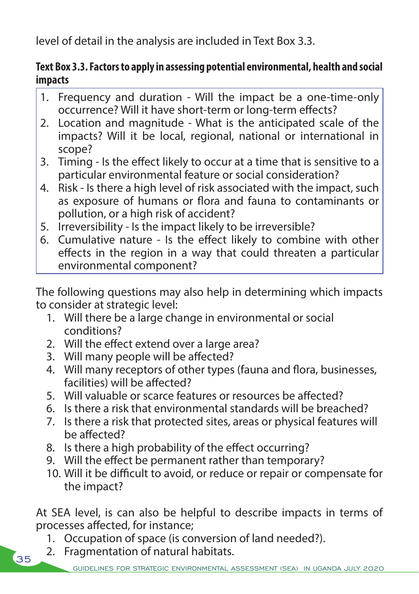level of detail in the analysis are included in Text Box 3.3.

### **Text Box 3.3. Factors to apply in assessing potential environmental, health and social impacts**

- 1. Frequency and duration Will the impact be a one-time-only occurrence? Will it have short-term or long-term effects?
- 2. Location and magnitude What is the anticipated scale of the impacts? Will it be local, regional, national or international in scope?
- 3. Timing Is the effect likely to occur at a time that is sensitive to a particular environmental feature or social consideration?
- 4. Risk Is there a high level of risk associated with the impact, such as exposure of humans or flora and fauna to contaminants or pollution, or a high risk of accident?
- 5. Irreversibility Is the impact likely to be irreversible?
- 6. Cumulative nature Is the effect likely to combine with other effects in the region in a way that could threaten a particular environmental component?

The following questions may also help in determining which impacts to consider at strategic level:

- 1. Will there be a large change in environmental or social conditions?
- 2. Will the effect extend over a large area?
- 3. Will many people will be affected?
- 4. Will many receptors of other types (fauna and flora, businesses, facilities) will be affected?
- 5. Will valuable or scarce features or resources be affected?
- 6. Is there a risk that environmental standards will be breached?
- 7. Is there a risk that protected sites, areas or physical features will be affected?
- 8. Is there a high probability of the effect occurring?
- 9. Will the effect be permanent rather than temporary?
- 10. Will it be difficult to avoid, or reduce or repair or compensate for the impact?

At SEA level, is can also be helpful to describe impacts in terms of processes affected, for instance;

- 1. Occupation of space (is conversion of land needed?).
- 2. Fragmentation of natural habitats.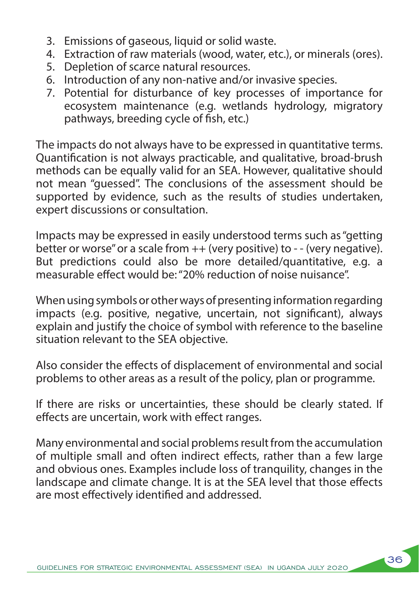- 3. Emissions of gaseous, liquid or solid waste.
- 4. Extraction of raw materials (wood, water, etc.), or minerals (ores).
- 5. Depletion of scarce natural resources.
- 6. Introduction of any non-native and/or invasive species.
- 7. Potential for disturbance of key processes of importance for ecosystem maintenance (e.g. wetlands hydrology, migratory pathways, breeding cycle of fish, etc.)

The impacts do not always have to be expressed in quantitative terms. Quantification is not always practicable, and qualitative, broad-brush methods can be equally valid for an SEA. However, qualitative should not mean "guessed". The conclusions of the assessment should be supported by evidence, such as the results of studies undertaken, expert discussions or consultation.

Impacts may be expressed in easily understood terms such as "getting better or worse" or a scale from ++ (very positive) to - - (very negative). But predictions could also be more detailed/quantitative, e.g. a measurable effect would be: "20% reduction of noise nuisance".

When using symbols or other ways of presenting information regarding impacts (e.g. positive, negative, uncertain, not significant), always explain and justify the choice of symbol with reference to the baseline situation relevant to the SEA objective.

Also consider the effects of displacement of environmental and social problems to other areas as a result of the policy, plan or programme.

If there are risks or uncertainties, these should be clearly stated. If effects are uncertain, work with effect ranges.

Many environmental and social problems result from the accumulation of multiple small and often indirect effects, rather than a few large and obvious ones. Examples include loss of tranquility, changes in the landscape and climate change. It is at the SEA level that those effects are most effectively identified and addressed.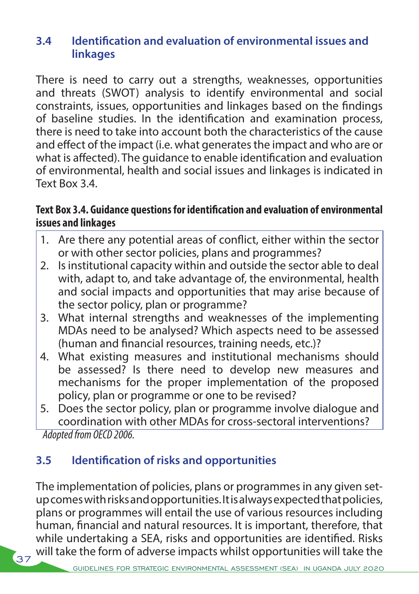### **3.4 Identification and evaluation of environmental issues and linkages**

There is need to carry out a strengths, weaknesses, opportunities and threats (SWOT) analysis to identify environmental and social constraints, issues, opportunities and linkages based on the findings of baseline studies. In the identification and examination process, there is need to take into account both the characteristics of the cause and effect of the impact (i.e. what generates the impact and who are or what is affected). The guidance to enable identification and evaluation of environmental, health and social issues and linkages is indicated in Text Box 3.4.

### **Text Box 3.4. Guidance questions for identification and evaluation of environmental issues and linkages**

- 1. Are there any potential areas of conflict, either within the sector or with other sector policies, plans and programmes?
- 2. Is institutional capacity within and outside the sector able to deal with, adapt to, and take advantage of, the environmental, health and social impacts and opportunities that may arise because of the sector policy, plan or programme?
- 3. What internal strengths and weaknesses of the implementing MDAs need to be analysed? Which aspects need to be assessed (human and financial resources, training needs, etc.)?
- 4. What existing measures and institutional mechanisms should be assessed? Is there need to develop new measures and mechanisms for the proper implementation of the proposed policy, plan or programme or one to be revised?
- 5. Does the sector policy, plan or programme involve dialogue and coordination with other MDAs for cross-sectoral interventions? *Adopted from OECD 2006.*

### **3.5 Identification of risks and opportunities**

 $\left(37\right)$ 

The implementation of policies, plans or programmes in any given setup comes with risks and opportunities. It is always expected that policies, plans or programmes will entail the use of various resources including human, financial and natural resources. It is important, therefore, that while undertaking a SEA, risks and opportunities are identified. Risks will take the form of adverse impacts whilst opportunities will take the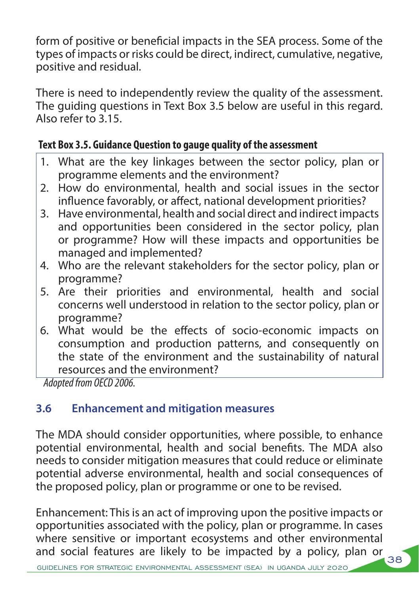form of positive or beneficial impacts in the SEA process. Some of the types of impacts or risks could be direct, indirect, cumulative, negative, positive and residual.

There is need to independently review the quality of the assessment. The guiding questions in Text Box 3.5 below are useful in this regard. Also refer to 3.15.

### **Text Box 3.5. Guidance Question to gauge quality of the assessment**

- 1. What are the key linkages between the sector policy, plan or programme elements and the environment?
- 2. How do environmental, health and social issues in the sector influence favorably, or affect, national development priorities?
- 3. Have environmental, health and social direct and indirect impacts and opportunities been considered in the sector policy, plan or programme? How will these impacts and opportunities be managed and implemented?
- 4. Who are the relevant stakeholders for the sector policy, plan or programme?
- 5. Are their priorities and environmental, health and social concerns well understood in relation to the sector policy, plan or programme?
- 6. What would be the effects of socio-economic impacts on consumption and production patterns, and consequently on the state of the environment and the sustainability of natural resources and the environment?

*Adopted from OECD 2006.*

# **3.6 Enhancement and mitigation measures**

The MDA should consider opportunities, where possible, to enhance potential environmental, health and social benefits. The MDA also needs to consider mitigation measures that could reduce or eliminate potential adverse environmental, health and social consequences of the proposed policy, plan or programme or one to be revised.

Enhancement: This is an act of improving upon the positive impacts or opportunities associated with the policy, plan or programme. In cases where sensitive or important ecosystems and other environmental and social features are likely to be impacted by a policy, plan or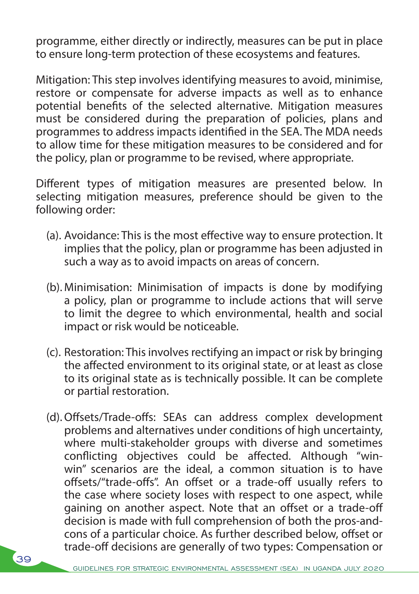programme, either directly or indirectly, measures can be put in place to ensure long-term protection of these ecosystems and features.

Mitigation: This step involves identifying measures to avoid, minimise, restore or compensate for adverse impacts as well as to enhance potential benefits of the selected alternative. Mitigation measures must be considered during the preparation of policies, plans and programmes to address impacts identified in the SEA. The MDA needs to allow time for these mitigation measures to be considered and for the policy, plan or programme to be revised, where appropriate.

Different types of mitigation measures are presented below. In selecting mitigation measures, preference should be given to the following order:

- (a). Avoidance: This is the most effective way to ensure protection. It implies that the policy, plan or programme has been adjusted in such a way as to avoid impacts on areas of concern.
- (b). Minimisation: Minimisation of impacts is done by modifying a policy, plan or programme to include actions that will serve to limit the degree to which environmental, health and social impact or risk would be noticeable.
- (c). Restoration: This involves rectifying an impact or risk by bringing the affected environment to its original state, or at least as close to its original state as is technically possible. It can be complete or partial restoration.
- (d).Offsets/Trade-offs: SEAs can address complex development problems and alternatives under conditions of high uncertainty, where multi-stakeholder groups with diverse and sometimes conflicting objectives could be affected. Although "winwin" scenarios are the ideal, a common situation is to have offsets/"trade-offs". An offset or a trade-off usually refers to the case where society loses with respect to one aspect, while gaining on another aspect. Note that an offset or a trade-off decision is made with full comprehension of both the pros-andcons of a particular choice. As further described below, offset or trade-off decisions are generally of two types: Compensation or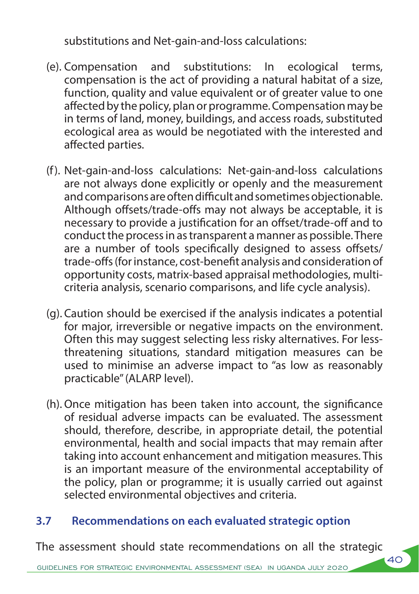substitutions and Net-gain-and-loss calculations:

- (e). Compensation and substitutions: In ecological terms, compensation is the act of providing a natural habitat of a size, function, quality and value equivalent or of greater value to one affected by the policy, plan or programme. Compensation may be in terms of land, money, buildings, and access roads, substituted ecological area as would be negotiated with the interested and affected parties.
- (f). Net-gain-and-loss calculations: Net-gain-and-loss calculations are not always done explicitly or openly and the measurement and comparisons are often difficult and sometimes objectionable. Although offsets/trade-offs may not always be acceptable, it is necessary to provide a justification for an offset/trade-off and to conduct the process in as transparent a manner as possible. There are a number of tools specifically designed to assess offsets/ trade-offs (for instance, cost-benefit analysis and consideration of opportunity costs, matrix-based appraisal methodologies, multicriteria analysis, scenario comparisons, and life cycle analysis).
- (g). Caution should be exercised if the analysis indicates a potential for major, irreversible or negative impacts on the environment. Often this may suggest selecting less risky alternatives. For lessthreatening situations, standard mitigation measures can be used to minimise an adverse impact to "as low as reasonably practicable" (ALARP level).
- (h).Once mitigation has been taken into account, the significance of residual adverse impacts can be evaluated. The assessment should, therefore, describe, in appropriate detail, the potential environmental, health and social impacts that may remain after taking into account enhancement and mitigation measures. This is an important measure of the environmental acceptability of the policy, plan or programme; it is usually carried out against selected environmental objectives and criteria.

### **3.7 Recommendations on each evaluated strategic option**

The assessment should state recommendations on all the strategic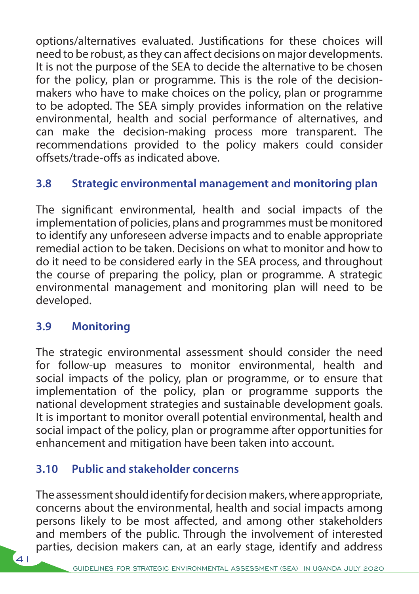options/alternatives evaluated. Justifications for these choices will need to be robust, as they can affect decisions on major developments. It is not the purpose of the SEA to decide the alternative to be chosen for the policy, plan or programme. This is the role of the decisionmakers who have to make choices on the policy, plan or programme to be adopted. The SEA simply provides information on the relative environmental, health and social performance of alternatives, and can make the decision-making process more transparent. The recommendations provided to the policy makers could consider offsets/trade-offs as indicated above.

## **3.8 Strategic environmental management and monitoring plan**

The significant environmental, health and social impacts of the implementation of policies, plans and programmes must be monitored to identify any unforeseen adverse impacts and to enable appropriate remedial action to be taken. Decisions on what to monitor and how to do it need to be considered early in the SEA process, and throughout the course of preparing the policy, plan or programme. A strategic environmental management and monitoring plan will need to be developed.

### **3.9 Monitoring**

The strategic environmental assessment should consider the need for follow-up measures to monitor environmental, health and social impacts of the policy, plan or programme, or to ensure that implementation of the policy, plan or programme supports the national development strategies and sustainable development goals. It is important to monitor overall potential environmental, health and social impact of the policy, plan or programme after opportunities for enhancement and mitigation have been taken into account.

### **3.10 Public and stakeholder concerns**

The assessment should identify for decision makers, where appropriate, concerns about the environmental, health and social impacts among persons likely to be most affected, and among other stakeholders and members of the public. Through the involvement of interested parties, decision makers can, at an early stage, identify and address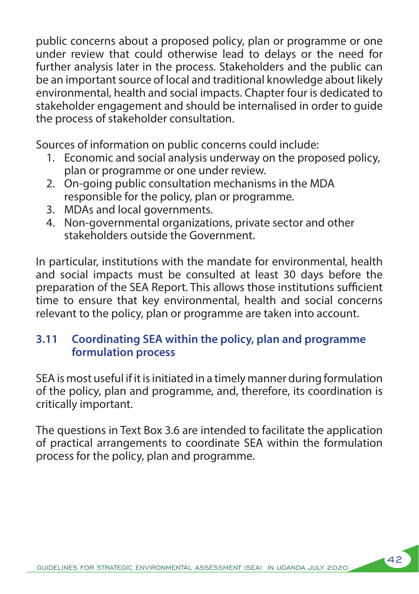public concerns about a proposed policy, plan or programme or one under review that could otherwise lead to delays or the need for further analysis later in the process. Stakeholders and the public can be an important source of local and traditional knowledge about likely environmental, health and social impacts. Chapter four is dedicated to stakeholder engagement and should be internalised in order to guide the process of stakeholder consultation.

Sources of information on public concerns could include:

- 1. Economic and social analysis underway on the proposed policy, plan or programme or one under review.
- 2. On-going public consultation mechanisms in the MDA responsible for the policy, plan or programme.
- 3. MDAs and local governments.
- 4. Non-governmental organizations, private sector and other stakeholders outside the Government.

In particular, institutions with the mandate for environmental, health and social impacts must be consulted at least 30 days before the preparation of the SEA Report. This allows those institutions sufficient time to ensure that key environmental, health and social concerns relevant to the policy, plan or programme are taken into account.

### **3.11 Coordinating SEA within the policy, plan and programme formulation process**

SEA is most useful if it is initiated in a timely manner during formulation of the policy, plan and programme, and, therefore, its coordination is critically important.

The questions in Text Box 3.6 are intended to facilitate the application of practical arrangements to coordinate SEA within the formulation process for the policy, plan and programme.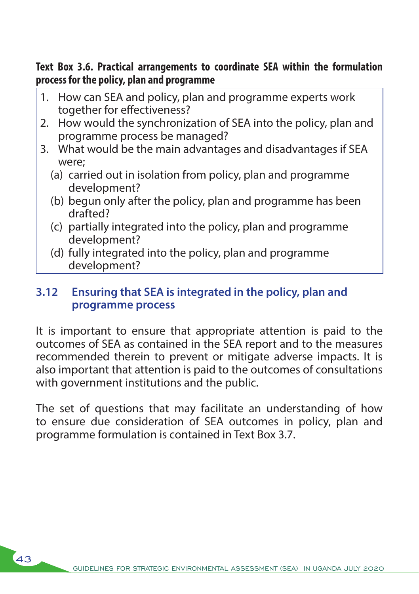**Text Box 3.6. Practical arrangements to coordinate SEA within the formulation process for the policy, plan and programme** 

- 1. How can SEA and policy, plan and programme experts work together for effectiveness?
- 2. How would the synchronization of SEA into the policy, plan and programme process be managed?
- 3. What would be the main advantages and disadvantages if SEA were;
	- (a) carried out in isolation from policy, plan and programme development?
	- (b) begun only after the policy, plan and programme has been drafted?
	- (c) partially integrated into the policy, plan and programme development?
	- (d) fully integrated into the policy, plan and programme development?

### **3.12 Ensuring that SEA is integrated in the policy, plan and programme process**

It is important to ensure that appropriate attention is paid to the outcomes of SEA as contained in the SEA report and to the measures recommended therein to prevent or mitigate adverse impacts. It is also important that attention is paid to the outcomes of consultations with government institutions and the public.

The set of questions that may facilitate an understanding of how to ensure due consideration of SEA outcomes in policy, plan and programme formulation is contained in Text Box 3.7.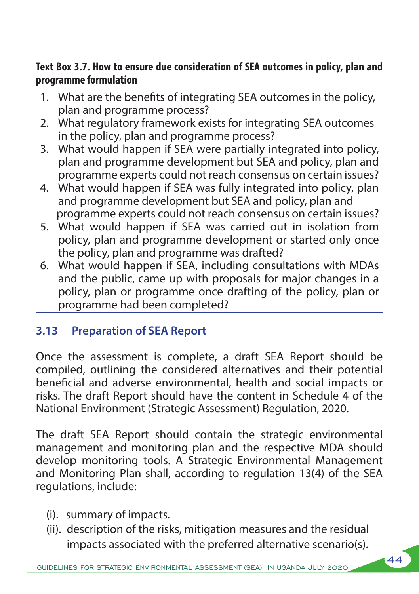### **Text Box 3.7. How to ensure due consideration of SEA outcomes in policy, plan and programme formulation**

- 1. What are the benefits of integrating SEA outcomes in the policy, plan and programme process?
- 2. What regulatory framework exists for integrating SEA outcomes in the policy, plan and programme process?
- 3. What would happen if SEA were partially integrated into policy, plan and programme development but SEA and policy, plan and programme experts could not reach consensus on certain issues?
- 4. What would happen if SEA was fully integrated into policy, plan and programme development but SEA and policy, plan and programme experts could not reach consensus on certain issues?
- 5. What would happen if SEA was carried out in isolation from policy, plan and programme development or started only once the policy, plan and programme was drafted?
- 6. What would happen if SEA, including consultations with MDAs and the public, came up with proposals for major changes in a policy, plan or programme once drafting of the policy, plan or programme had been completed?

# **3.13 Preparation of SEA Report**

Once the assessment is complete, a draft SEA Report should be compiled, outlining the considered alternatives and their potential beneficial and adverse environmental, health and social impacts or risks. The draft Report should have the content in Schedule 4 of the National Environment (Strategic Assessment) Regulation, 2020.

The draft SEA Report should contain the strategic environmental management and monitoring plan and the respective MDA should develop monitoring tools. A Strategic Environmental Management and Monitoring Plan shall, according to regulation 13(4) of the SEA regulations, include:

- (i). summary of impacts.
- (ii). description of the risks, mitigation measures and the residual impacts associated with the preferred alternative scenario(s).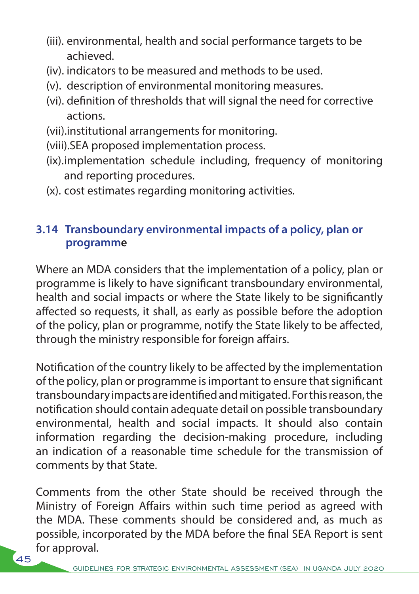- (iii). environmental, health and social performance targets to be achieved.
- (iv). indicators to be measured and methods to be used.
- (v). description of environmental monitoring measures.
- (vi). definition of thresholds that will signal the need for corrective actions.
- (vii).institutional arrangements for monitoring.
- (viii).SEA proposed implementation process.
- (ix).implementation schedule including, frequency of monitoring and reporting procedures.
- (x). cost estimates regarding monitoring activities.

### **3.14 Transboundary environmental impacts of a policy, plan or programme**

Where an MDA considers that the implementation of a policy, plan or programme is likely to have significant transboundary environmental, health and social impacts or where the State likely to be significantly affected so requests, it shall, as early as possible before the adoption of the policy, plan or programme, notify the State likely to be affected, through the ministry responsible for foreign affairs.

Notification of the country likely to be affected by the implementation of the policy, plan or programme is important to ensure that significant transboundary impacts are identified and mitigated. For this reason, the notification should contain adequate detail on possible transboundary environmental, health and social impacts. It should also contain information regarding the decision-making procedure, including an indication of a reasonable time schedule for the transmission of comments by that State.

Comments from the other State should be received through the Ministry of Foreign Affairs within such time period as agreed with the MDA. These comments should be considered and, as much as possible, incorporated by the MDA before the final SEA Report is sent for approval.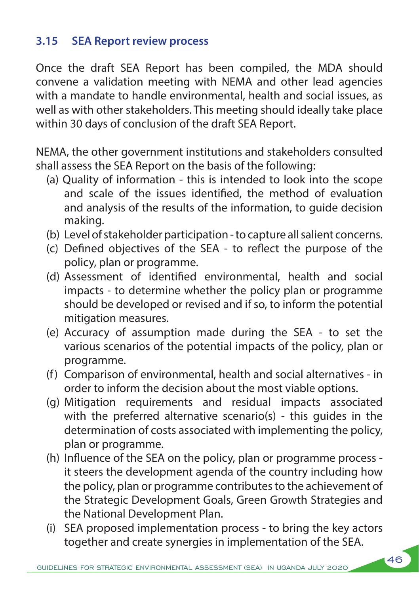### **3.15 SEA Report review process**

Once the draft SEA Report has been compiled, the MDA should convene a validation meeting with NEMA and other lead agencies with a mandate to handle environmental, health and social issues, as well as with other stakeholders. This meeting should ideally take place within 30 days of conclusion of the draft SEA Report.

NEMA, the other government institutions and stakeholders consulted shall assess the SEA Report on the basis of the following:

- (a) Quality of information this is intended to look into the scope and scale of the issues identified, the method of evaluation and analysis of the results of the information, to guide decision making.
- (b) Level of stakeholder participation to capture all salient concerns.
- (c) Defined objectives of the SEA to reflect the purpose of the policy, plan or programme.
- (d) Assessment of identified environmental, health and social impacts - to determine whether the policy plan or programme should be developed or revised and if so, to inform the potential mitigation measures.
- (e) Accuracy of assumption made during the SEA to set the various scenarios of the potential impacts of the policy, plan or programme.
- (f) Comparison of environmental, health and social alternatives in order to inform the decision about the most viable options.
- (g) Mitigation requirements and residual impacts associated with the preferred alternative scenario(s) - this quides in the determination of costs associated with implementing the policy, plan or programme.
- (h) Influence of the SEA on the policy, plan or programme process it steers the development agenda of the country including how the policy, plan or programme contributes to the achievement of the Strategic Development Goals, Green Growth Strategies and the National Development Plan.
- (i) SEA proposed implementation process to bring the key actors together and create synergies in implementation of the SEA.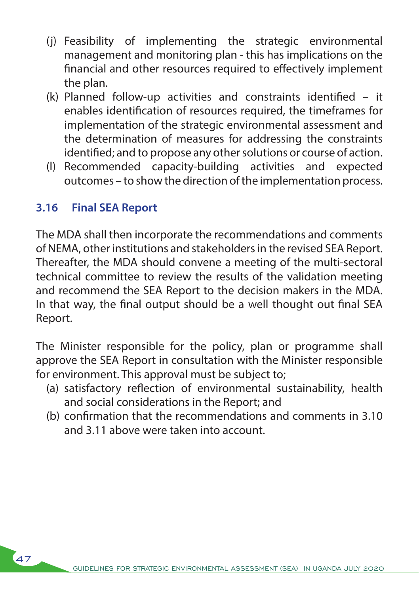- (j) Feasibility of implementing the strategic environmental management and monitoring plan - this has implications on the financial and other resources required to effectively implement the plan.
- (k) Planned follow-up activities and constraints identified it enables identification of resources required, the timeframes for implementation of the strategic environmental assessment and the determination of measures for addressing the constraints identified; and to propose any other solutions or course of action.
- (l) Recommended capacity-building activities and expected outcomes – to show the direction of the implementation process.

### **3.16 Final SEA Report**

The MDA shall then incorporate the recommendations and comments of NEMA, other institutions and stakeholders in the revised SEA Report. Thereafter, the MDA should convene a meeting of the multi-sectoral technical committee to review the results of the validation meeting and recommend the SEA Report to the decision makers in the MDA. In that way, the final output should be a well thought out final SEA Report.

The Minister responsible for the policy, plan or programme shall approve the SEA Report in consultation with the Minister responsible for environment. This approval must be subject to;

- (a) satisfactory reflection of environmental sustainability, health and social considerations in the Report; and
- (b) confirmation that the recommendations and comments in 3.10 and 3.11 above were taken into account.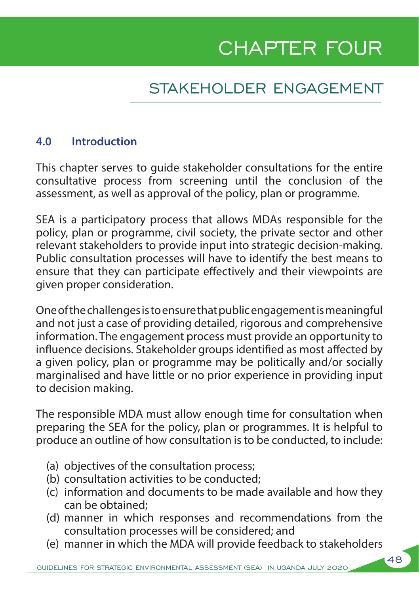# CHAPTER FOUR

# STAKEHOLDER ENGAGEMENT

### **4.0 Introduction**

This chapter serves to guide stakeholder consultations for the entire consultative process from screening until the conclusion of the assessment, as well as approval of the policy, plan or programme.

SEA is a participatory process that allows MDAs responsible for the policy, plan or programme, civil society, the private sector and other relevant stakeholders to provide input into strategic decision-making. Public consultation processes will have to identify the best means to ensure that they can participate effectively and their viewpoints are given proper consideration.

One of the challenges is to ensure that public engagement is meaningful and not just a case of providing detailed, rigorous and comprehensive information. The engagement process must provide an opportunity to influence decisions. Stakeholder groups identified as most affected by a given policy, plan or programme may be politically and/or socially marginalised and have little or no prior experience in providing input to decision making.

The responsible MDA must allow enough time for consultation when preparing the SEA for the policy, plan or programmes. It is helpful to produce an outline of how consultation is to be conducted, to include:

- (a) objectives of the consultation process;
- (b) consultation activities to be conducted;
- (c) information and documents to be made available and how they can be obtained;
- (d) manner in which responses and recommendations from the consultation processes will be considered; and
- (e) manner in which the MDA will provide feedback to stakeholders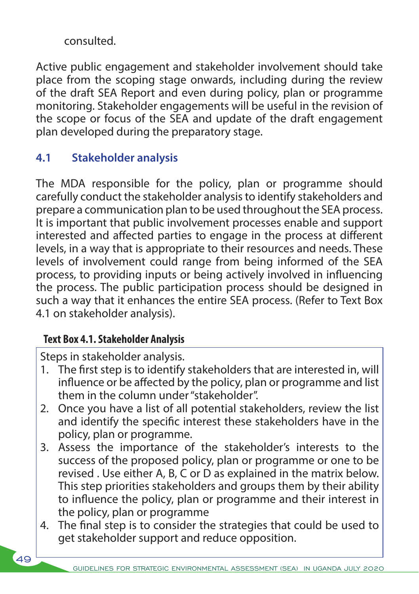consulted.

Active public engagement and stakeholder involvement should take place from the scoping stage onwards, including during the review of the draft SEA Report and even during policy, plan or programme monitoring. Stakeholder engagements will be useful in the revision of the scope or focus of the SEA and update of the draft engagement plan developed during the preparatory stage.

## **4.1 Stakeholder analysis**

The MDA responsible for the policy, plan or programme should carefully conduct the stakeholder analysis to identify stakeholders and prepare a communication plan to be used throughout the SEA process. It is important that public involvement processes enable and support interested and affected parties to engage in the process at different levels, in a way that is appropriate to their resources and needs. These levels of involvement could range from being informed of the SEA process, to providing inputs or being actively involved in influencing the process. The public participation process should be designed in such a way that it enhances the entire SEA process. (Refer to Text Box 4.1 on stakeholder analysis).

### **Text Box 4.1. Stakeholder Analysis**

Steps in stakeholder analysis.

- 1. The first step is to identify stakeholders that are interested in, will influence or be affected by the policy, plan or programme and list them in the column under "stakeholder".
- 2. Once you have a list of all potential stakeholders, review the list and identify the specific interest these stakeholders have in the policy, plan or programme.
- 3. Assess the importance of the stakeholder's interests to the success of the proposed policy, plan or programme or one to be revised . Use either A, B, C or D as explained in the matrix below. This step priorities stakeholders and groups them by their ability to influence the policy, plan or programme and their interest in the policy, plan or programme
- 4. The final step is to consider the strategies that could be used to get stakeholder support and reduce opposition.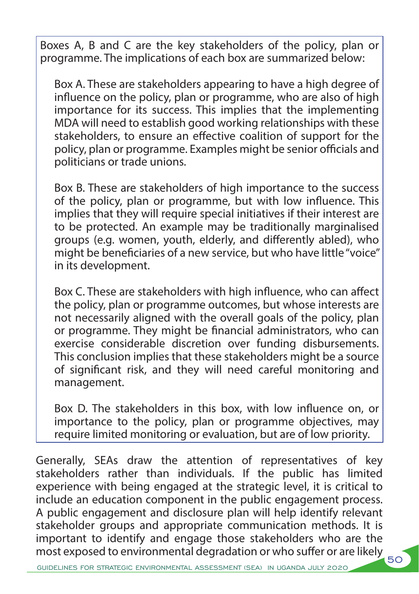Boxes A, B and C are the key stakeholders of the policy, plan or programme. The implications of each box are summarized below:

Box A. These are stakeholders appearing to have a high degree of influence on the policy, plan or programme, who are also of high importance for its success. This implies that the implementing MDA will need to establish good working relationships with these stakeholders, to ensure an effective coalition of support for the policy, plan or programme. Examples might be senior officials and politicians or trade unions.

Box B. These are stakeholders of high importance to the success of the policy, plan or programme, but with low influence. This implies that they will require special initiatives if their interest are to be protected. An example may be traditionally marginalised groups (e.g. women, youth, elderly, and differently abled), who might be beneficiaries of a new service, but who have little "voice" in its development.

Box C. These are stakeholders with high influence, who can affect the policy, plan or programme outcomes, but whose interests are not necessarily aligned with the overall goals of the policy, plan or programme. They might be financial administrators, who can exercise considerable discretion over funding disbursements. This conclusion implies that these stakeholders might be a source of significant risk, and they will need careful monitoring and management.

Box D. The stakeholders in this box, with low influence on, or importance to the policy, plan or programme objectives, may require limited monitoring or evaluation, but are of low priority.

most exposed to environmental degradation or who suffer or are likely 50 Generally, SEAs draw the attention of representatives of key stakeholders rather than individuals. If the public has limited experience with being engaged at the strategic level, it is critical to include an education component in the public engagement process. A public engagement and disclosure plan will help identify relevant stakeholder groups and appropriate communication methods. It is important to identify and engage those stakeholders who are the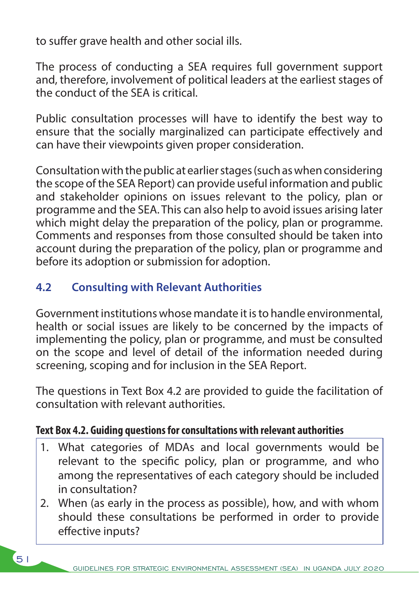to suffer grave health and other social ills.

The process of conducting a SEA requires full government support and, therefore, involvement of political leaders at the earliest stages of the conduct of the SEA is critical.

Public consultation processes will have to identify the best way to ensure that the socially marginalized can participate effectively and can have their viewpoints given proper consideration.

Consultation with the public at earlier stages (such as when considering the scope of the SEA Report) can provide useful information and public and stakeholder opinions on issues relevant to the policy, plan or programme and the SEA. This can also help to avoid issues arising later which might delay the preparation of the policy, plan or programme. Comments and responses from those consulted should be taken into account during the preparation of the policy, plan or programme and before its adoption or submission for adoption.

## **4.2 Consulting with Relevant Authorities**

Government institutions whose mandate it is to handle environmental, health or social issues are likely to be concerned by the impacts of implementing the policy, plan or programme, and must be consulted on the scope and level of detail of the information needed during screening, scoping and for inclusion in the SEA Report.

The questions in Text Box 4.2 are provided to guide the facilitation of consultation with relevant authorities.

### **Text Box 4.2. Guiding questions for consultations with relevant authorities**

- 1. What categories of MDAs and local governments would be relevant to the specific policy, plan or programme, and who among the representatives of each category should be included in consultation?
- 2. When (as early in the process as possible), how, and with whom should these consultations be performed in order to provide effective inputs?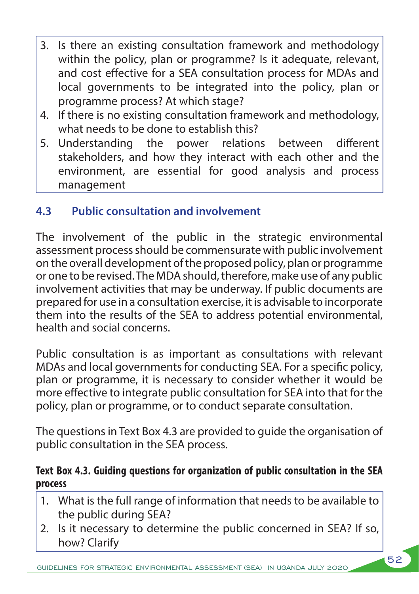- 3. Is there an existing consultation framework and methodology within the policy, plan or programme? Is it adequate, relevant, and cost effective for a SEA consultation process for MDAs and local governments to be integrated into the policy, plan or programme process? At which stage?
- 4. If there is no existing consultation framework and methodology, what needs to be done to establish this?
- 5. Understanding the power relations between different stakeholders, and how they interact with each other and the environment, are essential for good analysis and process management

# **4.3 Public consultation and involvement**

The involvement of the public in the strategic environmental assessment process should be commensurate with public involvement on the overall development of the proposed policy, plan or programme or one to be revised. The MDA should, therefore, make use of any public involvement activities that may be underway. If public documents are prepared for use in a consultation exercise, it is advisable to incorporate them into the results of the SEA to address potential environmental, health and social concerns.

Public consultation is as important as consultations with relevant MDAs and local governments for conducting SEA. For a specific policy, plan or programme, it is necessary to consider whether it would be more effective to integrate public consultation for SEA into that for the policy, plan or programme, or to conduct separate consultation.

The questions in Text Box 4.3 are provided to guide the organisation of public consultation in the SEA process.

### **Text Box 4.3. Guiding questions for organization of public consultation in the SEA process**

- 1. What is the full range of information that needs to be available to the public during SEA?
- 2. Is it necessary to determine the public concerned in SEA? If so, how? Clarify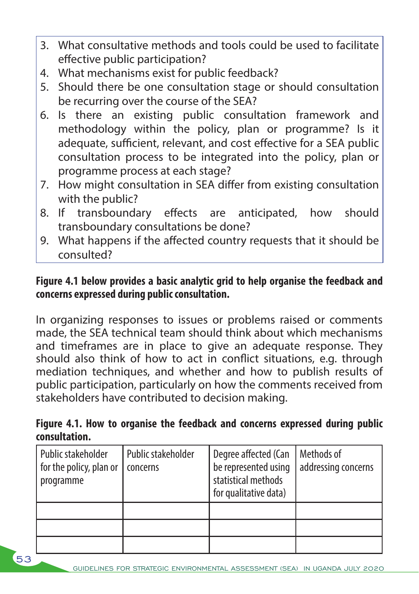- 3. What consultative methods and tools could be used to facilitate effective public participation?
- 4. What mechanisms exist for public feedback?
- 5. Should there be one consultation stage or should consultation be recurring over the course of the SEA?
- 6. Is there an existing public consultation framework and methodology within the policy, plan or programme? Is it adequate, sufficient, relevant, and cost effective for a SEA public consultation process to be integrated into the policy, plan or programme process at each stage?
- 7. How might consultation in SEA differ from existing consultation with the public?
- 8. If transboundary effects are anticipated, how should transboundary consultations be done?
- 9. What happens if the affected country requests that it should be consulted?

### **Figure 4.1 below provides a basic analytic grid to help organise the feedback and concerns expressed during public consultation.**

In organizing responses to issues or problems raised or comments made, the SEA technical team should think about which mechanisms and timeframes are in place to give an adequate response. They should also think of how to act in conflict situations, e.g. through mediation techniques, and whether and how to publish results of public participation, particularly on how the comments received from stakeholders have contributed to decision making.

### **Figure 4.1. How to organise the feedback and concerns expressed during public consultation.**

| Public stakeholder<br>for the policy, plan or<br>programme | Public stakeholder<br>concerns | Degree affected (Can<br>be represented using<br>statistical methods<br>for qualitative data) | Methods of<br>addressing concerns |
|------------------------------------------------------------|--------------------------------|----------------------------------------------------------------------------------------------|-----------------------------------|
|                                                            |                                |                                                                                              |                                   |
|                                                            |                                |                                                                                              |                                   |
|                                                            |                                |                                                                                              |                                   |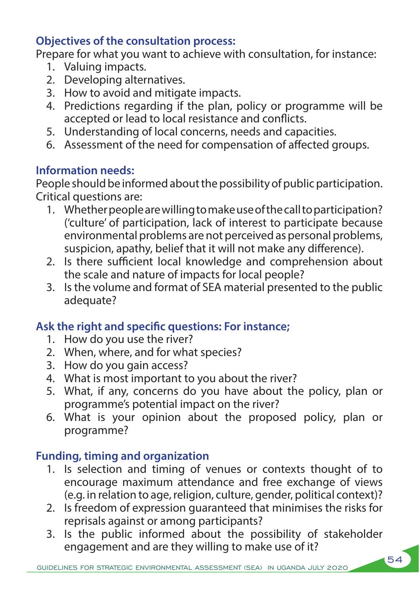### **Objectives of the consultation process:**

Prepare for what you want to achieve with consultation, for instance:

- 1. Valuing impacts.
- 2. Developing alternatives.
- 3. How to avoid and mitigate impacts.
- 4. Predictions regarding if the plan, policy or programme will be accepted or lead to local resistance and conflicts.
- 5. Understanding of local concerns, needs and capacities.
- 6. Assessment of the need for compensation of affected groups.

# **Information needs:**

People should be informed about the possibility of public participation. Critical questions are:

- 1. Whether people are willing to make use of the call to participation? ('culture' of participation, lack of interest to participate because environmental problems are not perceived as personal problems, suspicion, apathy, belief that it will not make any difference).
- 2. Is there sufficient local knowledge and comprehension about the scale and nature of impacts for local people?
- 3. Is the volume and format of SEA material presented to the public adequate?

### **Ask the right and specific questions: For instance;**

- 1. How do you use the river?
- 2. When, where, and for what species?
- 3. How do you gain access?
- 4. What is most important to you about the river?
- 5. What, if any, concerns do you have about the policy, plan or programme's potential impact on the river?
- 6. What is your opinion about the proposed policy, plan or programme?

# **Funding, timing and organization**

- 1. Is selection and timing of venues or contexts thought of to encourage maximum attendance and free exchange of views (e.g. in relation to age, religion, culture, gender, political context)?
- 2. Is freedom of expression guaranteed that minimises the risks for reprisals against or among participants?
- 3. Is the public informed about the possibility of stakeholder engagement and are they willing to make use of it?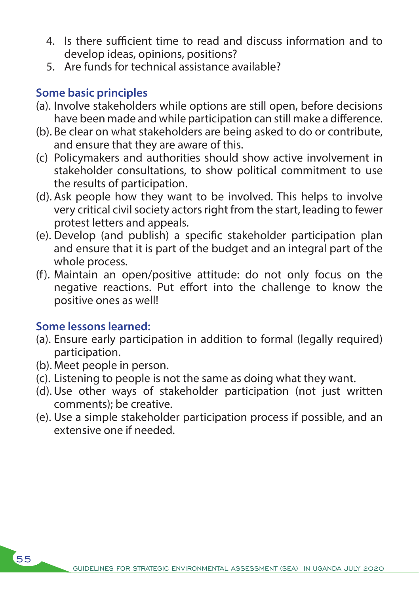- 4. Is there sufficient time to read and discuss information and to develop ideas, opinions, positions?
- 5. Are funds for technical assistance available?

## **Some basic principles**

- (a). Involve stakeholders while options are still open, before decisions have been made and while participation can still make a difference.
- (b). Be clear on what stakeholders are being asked to do or contribute, and ensure that they are aware of this.
- (c) Policymakers and authorities should show active involvement in stakeholder consultations, to show political commitment to use the results of participation.
- (d). Ask people how they want to be involved. This helps to involve very critical civil society actors right from the start, leading to fewer protest letters and appeals.
- (e). Develop (and publish) a specific stakeholder participation plan and ensure that it is part of the budget and an integral part of the whole process.
- (f). Maintain an open/positive attitude: do not only focus on the negative reactions. Put effort into the challenge to know the positive ones as well!

### **Some lessons learned:**

- (a). Ensure early participation in addition to formal (legally required) participation.
- (b). Meet people in person.
- (c). Listening to people is not the same as doing what they want.
- (d).Use other ways of stakeholder participation (not just written comments); be creative.
- (e). Use a simple stakeholder participation process if possible, and an extensive one if needed.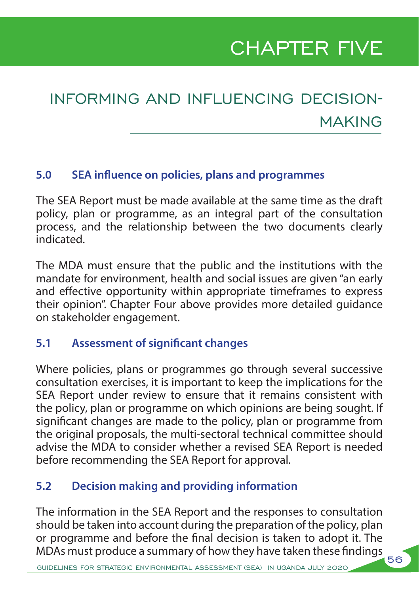# CHAPTER FIVE

# INFORMING AND INFLUENCING DECISION-MAKING

### **5.0 SEA influence on policies, plans and programmes**

The SEA Report must be made available at the same time as the draft policy, plan or programme, as an integral part of the consultation process, and the relationship between the two documents clearly indicated.

The MDA must ensure that the public and the institutions with the mandate for environment, health and social issues are given "an early and effective opportunity within appropriate timeframes to express their opinion". Chapter Four above provides more detailed guidance on stakeholder engagement.

### **5.1 Assessment of significant changes**

Where policies, plans or programmes go through several successive consultation exercises, it is important to keep the implications for the SEA Report under review to ensure that it remains consistent with the policy, plan or programme on which opinions are being sought. If significant changes are made to the policy, plan or programme from the original proposals, the multi-sectoral technical committee should advise the MDA to consider whether a revised SEA Report is needed before recommending the SEA Report for approval.

### **5.2 Decision making and providing information**

The information in the SEA Report and the responses to consultation should be taken into account during the preparation of the policy, plan or programme and before the final decision is taken to adopt it. The MDAs must produce a summary of how they have taken these findings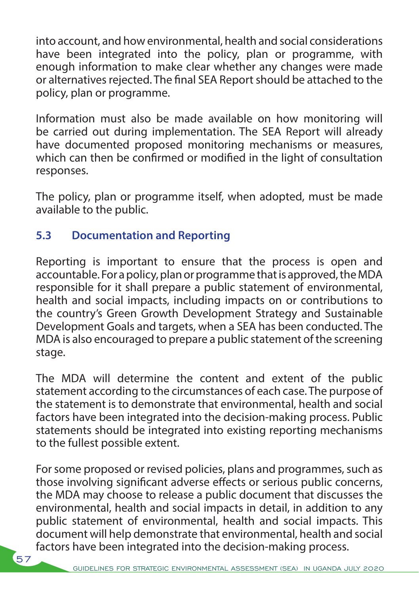into account, and how environmental, health and social considerations have been integrated into the policy, plan or programme, with enough information to make clear whether any changes were made or alternatives rejected. The final SEA Report should be attached to the policy, plan or programme.

Information must also be made available on how monitoring will be carried out during implementation. The SEA Report will already have documented proposed monitoring mechanisms or measures, which can then be confirmed or modified in the light of consultation responses.

The policy, plan or programme itself, when adopted, must be made available to the public.

## **5.3 Documentation and Reporting**

 $\sqrt{57}$ 

Reporting is important to ensure that the process is open and accountable. For a policy, plan or programme that is approved, the MDA responsible for it shall prepare a public statement of environmental, health and social impacts, including impacts on or contributions to the country's Green Growth Development Strategy and Sustainable Development Goals and targets, when a SEA has been conducted. The MDA is also encouraged to prepare a public statement of the screening stage.

The MDA will determine the content and extent of the public statement according to the circumstances of each case. The purpose of the statement is to demonstrate that environmental, health and social factors have been integrated into the decision-making process. Public statements should be integrated into existing reporting mechanisms to the fullest possible extent.

For some proposed or revised policies, plans and programmes, such as those involving significant adverse effects or serious public concerns, the MDA may choose to release a public document that discusses the environmental, health and social impacts in detail, in addition to any public statement of environmental, health and social impacts. This document will help demonstrate that environmental, health and social factors have been integrated into the decision-making process.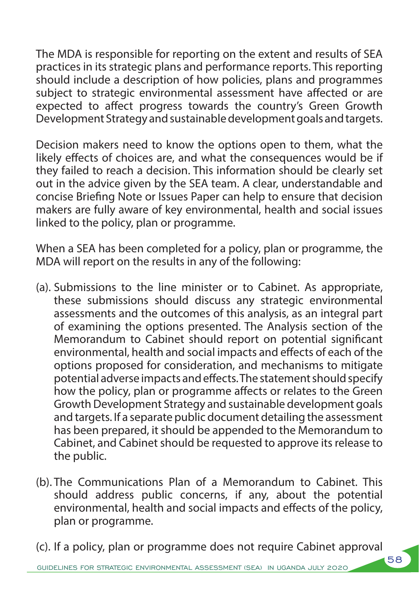The MDA is responsible for reporting on the extent and results of SEA practices in its strategic plans and performance reports. This reporting should include a description of how policies, plans and programmes subject to strategic environmental assessment have affected or are expected to affect progress towards the country's Green Growth Development Strategy and sustainable development goals and targets.

Decision makers need to know the options open to them, what the likely effects of choices are, and what the consequences would be if they failed to reach a decision. This information should be clearly set out in the advice given by the SEA team. A clear, understandable and concise Briefing Note or Issues Paper can help to ensure that decision makers are fully aware of key environmental, health and social issues linked to the policy, plan or programme.

When a SEA has been completed for a policy, plan or programme, the MDA will report on the results in any of the following:

- (a). Submissions to the line minister or to Cabinet. As appropriate, these submissions should discuss any strategic environmental assessments and the outcomes of this analysis, as an integral part of examining the options presented. The Analysis section of the Memorandum to Cabinet should report on potential significant environmental, health and social impacts and effects of each of the options proposed for consideration, and mechanisms to mitigate potential adverse impacts and effects. The statement should specify how the policy, plan or programme affects or relates to the Green Growth Development Strategy and sustainable development goals and targets. If a separate public document detailing the assessment has been prepared, it should be appended to the Memorandum to Cabinet, and Cabinet should be requested to approve its release to the public.
- (b). The Communications Plan of a Memorandum to Cabinet. This should address public concerns, if any, about the potential environmental, health and social impacts and effects of the policy, plan or programme.

(c). If a policy, plan or programme does not require Cabinet approval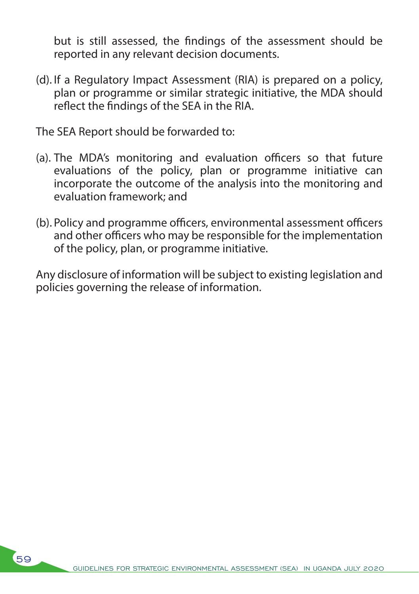but is still assessed, the findings of the assessment should be reported in any relevant decision documents.

(d). If a Regulatory Impact Assessment (RIA) is prepared on a policy, plan or programme or similar strategic initiative, the MDA should reflect the findings of the SEA in the RIA.

The SEA Report should be forwarded to:

- (a). The MDA's monitoring and evaluation officers so that future evaluations of the policy, plan or programme initiative can incorporate the outcome of the analysis into the monitoring and evaluation framework; and
- (b). Policy and programme officers, environmental assessment officers and other officers who may be responsible for the implementation of the policy, plan, or programme initiative.

Any disclosure of information will be subject to existing legislation and policies governing the release of information.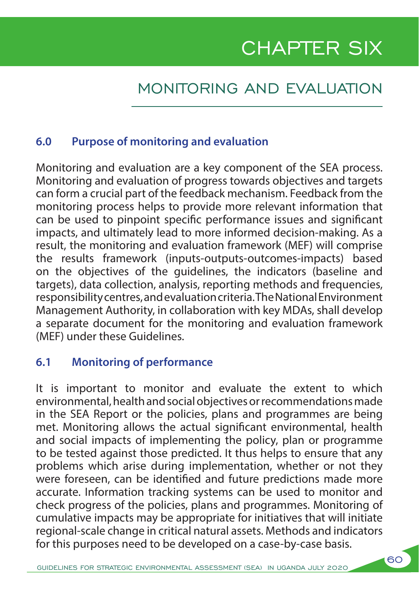# CHAPTER SIX

# MONITORING AND EVALUATION

### **6.0 Purpose of monitoring and evaluation**

Monitoring and evaluation are a key component of the SEA process. Monitoring and evaluation of progress towards objectives and targets can form a crucial part of the feedback mechanism. Feedback from the monitoring process helps to provide more relevant information that can be used to pinpoint specific performance issues and significant impacts, and ultimately lead to more informed decision-making. As a result, the monitoring and evaluation framework (MEF) will comprise the results framework (inputs-outputs-outcomes-impacts) based on the objectives of the guidelines, the indicators (baseline and targets), data collection, analysis, reporting methods and frequencies, responsibility centres, and evaluation criteria. The National Environment Management Authority, in collaboration with key MDAs, shall develop a separate document for the monitoring and evaluation framework (MEF) under these Guidelines.

### **6.1 Monitoring of performance**

It is important to monitor and evaluate the extent to which environmental, health and social objectives or recommendations made in the SEA Report or the policies, plans and programmes are being met. Monitoring allows the actual significant environmental, health and social impacts of implementing the policy, plan or programme to be tested against those predicted. It thus helps to ensure that any problems which arise during implementation, whether or not they were foreseen, can be identified and future predictions made more accurate. Information tracking systems can be used to monitor and check progress of the policies, plans and programmes. Monitoring of cumulative impacts may be appropriate for initiatives that will initiate regional-scale change in critical natural assets. Methods and indicators for this purposes need to be developed on a case-by-case basis.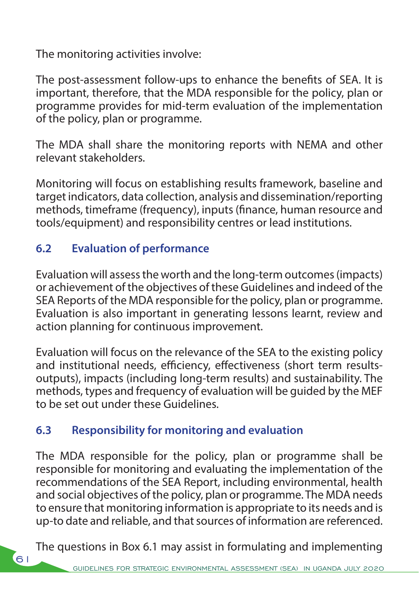The monitoring activities involve:

The post-assessment follow-ups to enhance the benefits of SEA. It is important, therefore, that the MDA responsible for the policy, plan or programme provides for mid-term evaluation of the implementation of the policy, plan or programme.

The MDA shall share the monitoring reports with NEMA and other relevant stakeholders.

Monitoring will focus on establishing results framework, baseline and target indicators, data collection, analysis and dissemination/reporting methods, timeframe (frequency), inputs (finance, human resource and tools/equipment) and responsibility centres or lead institutions.

### **6.2 Evaluation of performance**

Evaluation will assess the worth and the long-term outcomes (impacts) or achievement of the objectives of these Guidelines and indeed of the SEA Reports of the MDA responsible for the policy, plan or programme. Evaluation is also important in generating lessons learnt, review and action planning for continuous improvement.

Evaluation will focus on the relevance of the SEA to the existing policy and institutional needs, efficiency, effectiveness (short term resultsoutputs), impacts (including long-term results) and sustainability. The methods, types and frequency of evaluation will be guided by the MEF to be set out under these Guidelines.

### **6.3 Responsibility for monitoring and evaluation**

The MDA responsible for the policy, plan or programme shall be responsible for monitoring and evaluating the implementation of the recommendations of the SEA Report, including environmental, health and social objectives of the policy, plan or programme. The MDA needs to ensure that monitoring information is appropriate to its needs and is up-to date and reliable, and that sources of information are referenced.

The questions in Box 6.1 may assist in formulating and implementing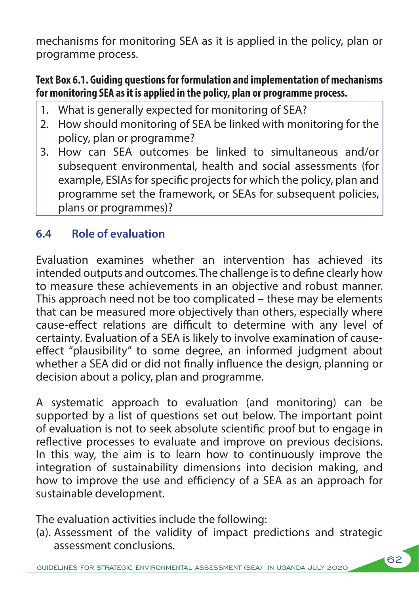mechanisms for monitoring SEA as it is applied in the policy, plan or programme process.

### **Text Box 6.1. Guiding questions for formulation and implementation of mechanisms for monitoring SEA as it is applied in the policy, plan or programme process.**

- 1. What is generally expected for monitoring of SEA?
- 2. How should monitoring of SEA be linked with monitoring for the policy, plan or programme?
- 3. How can SEA outcomes be linked to simultaneous and/or subsequent environmental, health and social assessments (for example, ESIAs for specific projects for which the policy, plan and programme set the framework, or SEAs for subsequent policies, plans or programmes)?

# **6.4 Role of evaluation**

Evaluation examines whether an intervention has achieved its intended outputs and outcomes. The challenge is to define clearly how to measure these achievements in an objective and robust manner. This approach need not be too complicated – these may be elements that can be measured more objectively than others, especially where cause-effect relations are difficult to determine with any level of certainty. Evaluation of a SEA is likely to involve examination of causeeffect "plausibility" to some degree, an informed judgment about whether a SEA did or did not finally influence the design, planning or decision about a policy, plan and programme.

A systematic approach to evaluation (and monitoring) can be supported by a list of questions set out below. The important point of evaluation is not to seek absolute scientific proof but to engage in reflective processes to evaluate and improve on previous decisions. In this way, the aim is to learn how to continuously improve the integration of sustainability dimensions into decision making, and how to improve the use and efficiency of a SEA as an approach for sustainable development.

The evaluation activities include the following:

(a). Assessment of the validity of impact predictions and strategic assessment conclusions.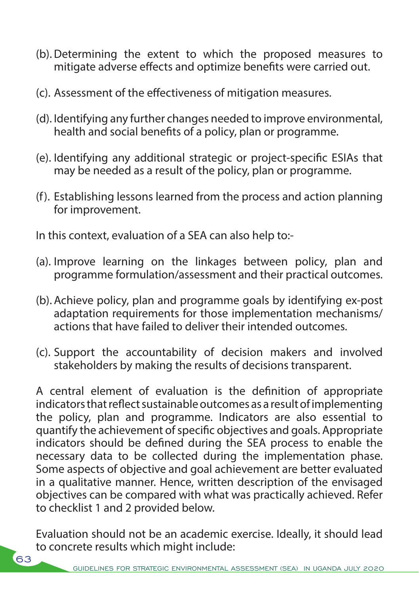- (b).Determining the extent to which the proposed measures to mitigate adverse effects and optimize benefits were carried out.
- (c). Assessment of the effectiveness of mitigation measures.
- (d). Identifying any further changes needed to improve environmental, health and social benefits of a policy, plan or programme.
- (e). Identifying any additional strategic or project-specific ESIAs that may be needed as a result of the policy, plan or programme.
- (f). Establishing lessons learned from the process and action planning for improvement.

In this context, evaluation of a SEA can also help to:-

- (a). Improve learning on the linkages between policy, plan and programme formulation/assessment and their practical outcomes.
- (b). Achieve policy, plan and programme goals by identifying ex-post adaptation requirements for those implementation mechanisms/ actions that have failed to deliver their intended outcomes.
- (c). Support the accountability of decision makers and involved stakeholders by making the results of decisions transparent.

A central element of evaluation is the definition of appropriate indicators that reflect sustainable outcomes as a result of implementing the policy, plan and programme. Indicators are also essential to quantify the achievement of specific objectives and goals. Appropriate indicators should be defined during the SEA process to enable the necessary data to be collected during the implementation phase. Some aspects of objective and goal achievement are better evaluated in a qualitative manner. Hence, written description of the envisaged objectives can be compared with what was practically achieved. Refer to checklist 1 and 2 provided below.

Evaluation should not be an academic exercise. Ideally, it should lead to concrete results which might include: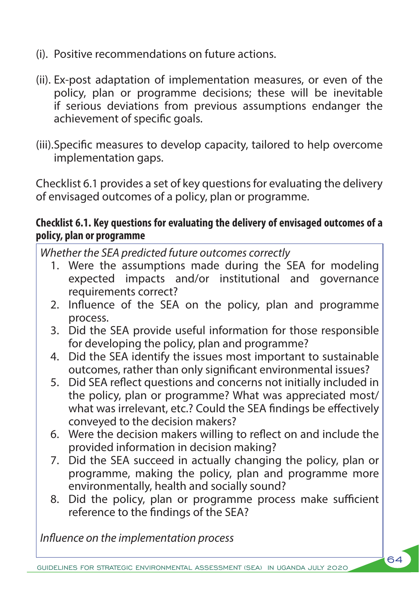- (i). Positive recommendations on future actions.
- (ii). Ex-post adaptation of implementation measures, or even of the policy, plan or programme decisions; these will be inevitable if serious deviations from previous assumptions endanger the achievement of specific goals.
- (iii).Specific measures to develop capacity, tailored to help overcome implementation gaps.

Checklist 6.1 provides a set of key questions for evaluating the delivery of envisaged outcomes of a policy, plan or programme.

#### **Checklist 6.1. Key questions for evaluating the delivery of envisaged outcomes of a policy, plan or programme**

*Whether the SEA predicted future outcomes correctly*

- 1. Were the assumptions made during the SEA for modeling expected impacts and/or institutional and governance requirements correct?
- 2. Influence of the SEA on the policy, plan and programme process.
- 3. Did the SEA provide useful information for those responsible for developing the policy, plan and programme?
- 4. Did the SEA identify the issues most important to sustainable outcomes, rather than only significant environmental issues?
- 5. Did SEA reflect questions and concerns not initially included in the policy, plan or programme? What was appreciated most/ what was irrelevant, etc.? Could the SEA findings be effectively conveyed to the decision makers?
- 6. Were the decision makers willing to reflect on and include the provided information in decision making?
- 7. Did the SEA succeed in actually changing the policy, plan or programme, making the policy, plan and programme more environmentally, health and socially sound?
- 8. Did the policy, plan or programme process make sufficient reference to the findings of the SEA?

64

*Influence on the implementation process*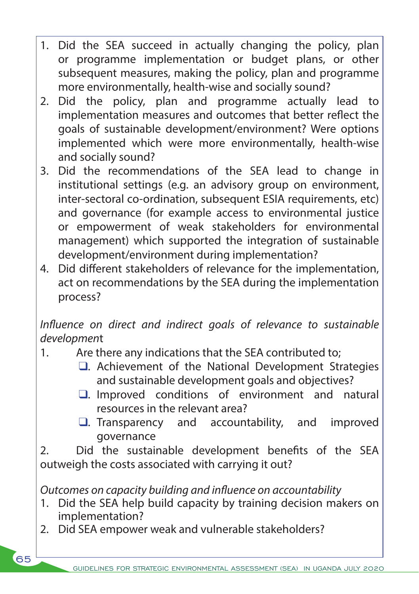- 1. Did the SEA succeed in actually changing the policy, plan or programme implementation or budget plans, or other subsequent measures, making the policy, plan and programme more environmentally, health-wise and socially sound?
- 2. Did the policy, plan and programme actually lead to implementation measures and outcomes that better reflect the goals of sustainable development/environment? Were options implemented which were more environmentally, health-wise and socially sound?
- 3. Did the recommendations of the SEA lead to change in institutional settings (e.g. an advisory group on environment, inter-sectoral co-ordination, subsequent ESIA requirements, etc) and governance (for example access to environmental justice or empowerment of weak stakeholders for environmental management) which supported the integration of sustainable development/environment during implementation?
- 4. Did different stakeholders of relevance for the implementation, act on recommendations by the SEA during the implementation process?

*Influence on direct and indirect goals of relevance to sustainable developmen*t

- 1. Are there any indications that the SEA contributed to;
	- $\Box$ . Achievement of the National Development Strategies and sustainable development goals and objectives?
	- $\square$ . Improved conditions of environment and natural resources in the relevant area?
	- $\Box$ . Transparency and accountability, and improved governance

2. Did the sustainable development benefits of the SEA outweigh the costs associated with carrying it out?

*Outcomes on capacity building and influence on accountability*

- 1. Did the SEA help build capacity by training decision makers on implementation?
- 2. Did SEA empower weak and vulnerable stakeholders?

 $65$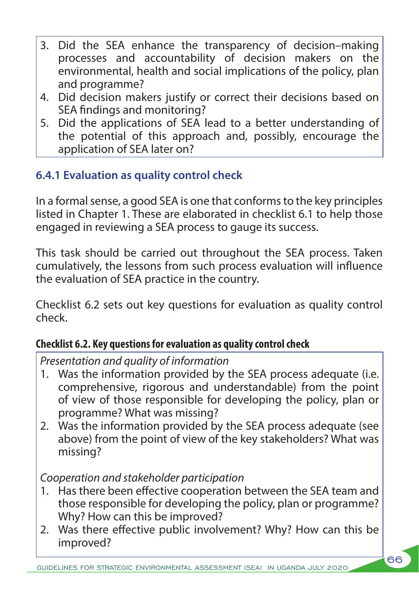- 3. Did the SEA enhance the transparency of decision–making processes and accountability of decision makers on the environmental, health and social implications of the policy, plan and programme?
- 4. Did decision makers justify or correct their decisions based on SEA findings and monitoring?
- 5. Did the applications of SEA lead to a better understanding of the potential of this approach and, possibly, encourage the application of SEA later on?

## **6.4.1 Evaluation as quality control check**

In a formal sense, a good SEA is one that conforms to the key principles listed in Chapter 1. These are elaborated in checklist 6.1 to help those engaged in reviewing a SEA process to gauge its success.

This task should be carried out throughout the SEA process. Taken cumulatively, the lessons from such process evaluation will influence the evaluation of SEA practice in the country.

Checklist 6.2 sets out key questions for evaluation as quality control check.

### **Checklist 6.2. Key questions for evaluation as quality control check**

*Presentation and quality of information*

- 1. Was the information provided by the SEA process adequate (i.e. comprehensive, rigorous and understandable) from the point of view of those responsible for developing the policy, plan or programme? What was missing?
- 2. Was the information provided by the SEA process adequate (see above) from the point of view of the key stakeholders? What was missing?

## *Cooperation and stakeholder participation*

- 1. Has there been effective cooperation between the SEA team and those responsible for developing the policy, plan or programme? Why? How can this be improved?
- 2. Was there effective public involvement? Why? How can this be improved?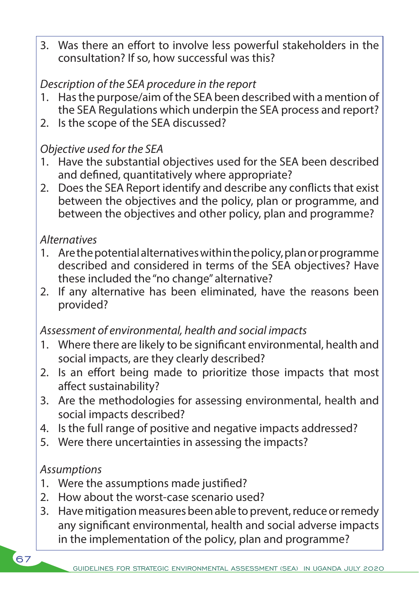3. Was there an effort to involve less powerful stakeholders in the consultation? If so, how successful was this?

## *Description of the SEA procedure in the report*

- 1. Has the purpose/aim of the SEA been described with a mention of the SEA Regulations which underpin the SEA process and report?
- 2. Is the scope of the SEA discussed?

### *Objective used for the SEA*

- 1. Have the substantial objectives used for the SEA been described and defined, quantitatively where appropriate?
- 2. Does the SEA Report identify and describe any conflicts that exist between the objectives and the policy, plan or programme, and between the objectives and other policy, plan and programme?

### *Alternatives*

- 1. Are the potential alternatives within the policy, plan or programme described and considered in terms of the SEA objectives? Have these included the "no change" alternative?
- 2. If any alternative has been eliminated, have the reasons been provided?

### *Assessment of environmental, health and social impacts*

- 1. Where there are likely to be significant environmental, health and social impacts, are they clearly described?
- 2. Is an effort being made to prioritize those impacts that most affect sustainability?
- 3. Are the methodologies for assessing environmental, health and social impacts described?
- 4. Is the full range of positive and negative impacts addressed?
- 5. Were there uncertainties in assessing the impacts?

### *Assumptions*

- 1. Were the assumptions made justified?
- 2. How about the worst-case scenario used?
- 3. Have mitigation measures been able to prevent, reduce or remedy any significant environmental, health and social adverse impacts in the implementation of the policy, plan and programme?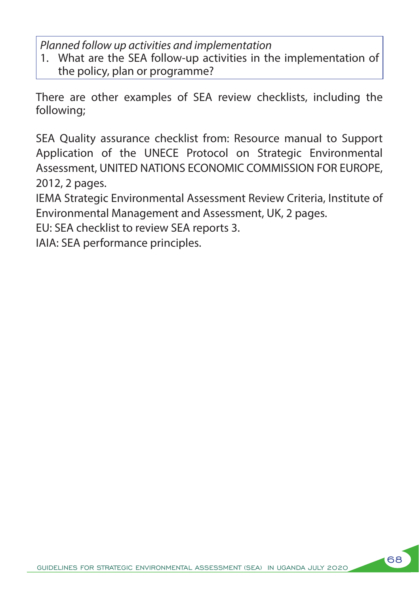*Planned follow up activities and implementation*

1. What are the SEA follow-up activities in the implementation of the policy, plan or programme?

There are other examples of SEA review checklists, including the following;

SEA Quality assurance checklist from: Resource manual to Support Application of the UNECE Protocol on Strategic Environmental Assessment, UNITED NATIONS ECONOMIC COMMISSION FOR EUROPE, 2012, 2 pages.

IEMA Strategic Environmental Assessment Review Criteria, Institute of Environmental Management and Assessment, UK, 2 pages.

EU: SEA checklist to review SEA reports 3.

IAIA: SEA performance principles.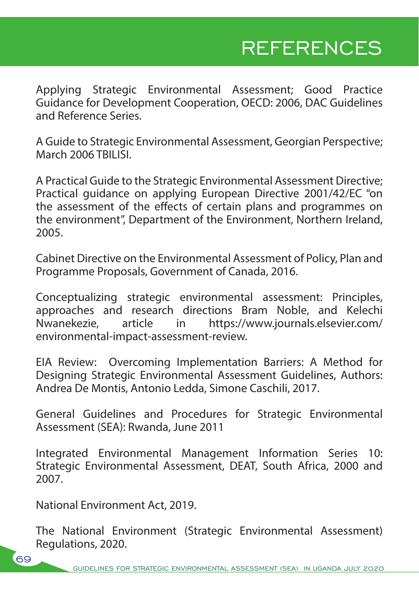# REFERENCES

Applying Strategic Environmental Assessment; Good Practice Guidance for Development Cooperation, OECD: 2006, DAC Guidelines and Reference Series.

A Guide to Strategic Environmental Assessment, Georgian Perspective; March 2006 TBILISI.

A Practical Guide to the Strategic Environmental Assessment Directive; Practical guidance on applying European Directive 2001/42/EC "on the assessment of the effects of certain plans and programmes on the environment", Department of the Environment, Northern Ireland, 2005.

Cabinet Directive on the Environmental Assessment of Policy, Plan and Programme Proposals, Government of Canada, 2016.

Conceptualizing strategic environmental assessment: Principles, approaches and research directions Bram Noble, and Kelechi<br>Nwanekezie, article in https://www.journals.elsevier.com/ article in https://www.journals.elsevier.com/ environmental-impact-assessment-review.

EIA Review: Overcoming Implementation Barriers: A Method for Designing Strategic Environmental Assessment Guidelines, Authors: Andrea De Montis, Antonio Ledda, Simone Caschili, 2017.

General Guidelines and Procedures for Strategic Environmental Assessment (SEA): Rwanda, June 2011

Integrated Environmental Management Information Series 10: Strategic Environmental Assessment, DEAT, South Africa, 2000 and 2007.

National Environment Act, 2019.

The National Environment (Strategic Environmental Assessment) Regulations, 2020.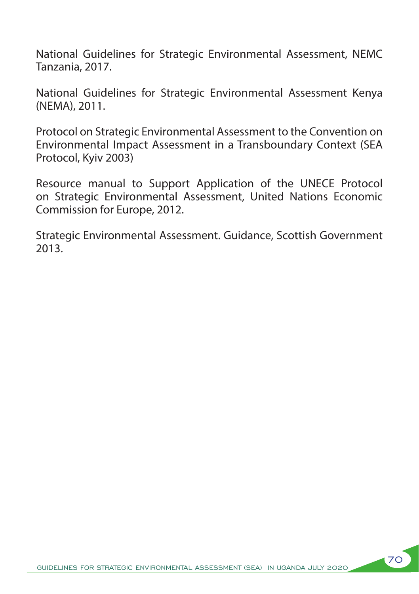National Guidelines for Strategic Environmental Assessment, NEMC Tanzania, 2017.

National Guidelines for Strategic Environmental Assessment Kenya (NEMA), 2011.

Protocol on Strategic Environmental Assessment to the Convention on Environmental Impact Assessment in a Transboundary Context (SEA Protocol, Kyiv 2003)

Resource manual to Support Application of the UNECE Protocol on Strategic Environmental Assessment, United Nations Economic Commission for Europe, 2012.

Strategic Environmental Assessment. Guidance, Scottish Government 2013.

70